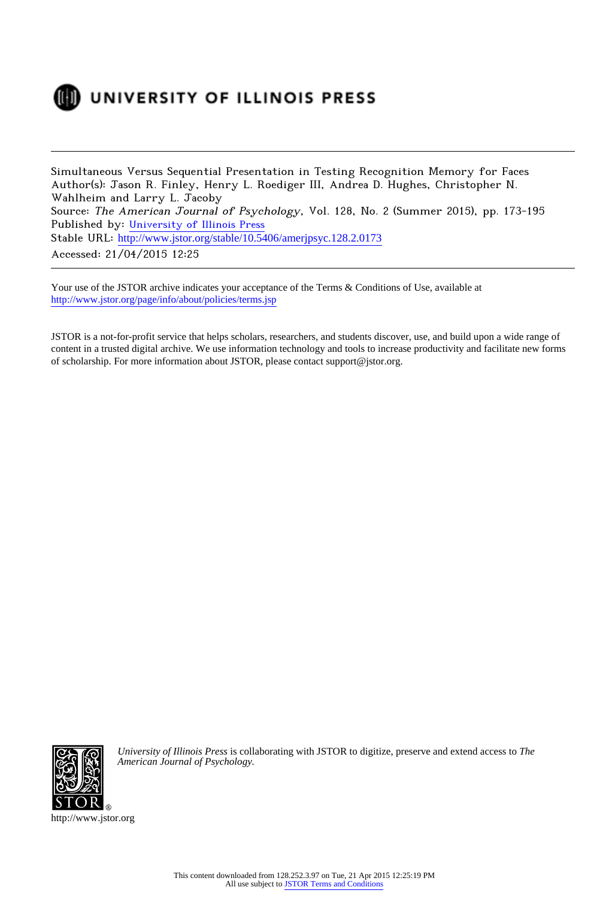

# UNIVERSITY OF ILLINOIS PRESS

Simultaneous Versus Sequential Presentation in Testing Recognition Memory for Faces Author(s): Jason R. Finley, Henry L. Roediger III, Andrea D. Hughes, Christopher N. Wahlheim and Larry L. Jacoby Source: The American Journal of Psychology, Vol. 128, No. 2 (Summer 2015), pp. 173-195 Published by: [University of Illinois Press](http://www.jstor.org/action/showPublisher?publisherCode=illinois) Stable URL: [http://www.jstor.org/stable/10.5406/amerjpsyc.128.2.0173](http://www.jstor.org/stable/10.5406/amerjpsyc.128.2.0173?origin=JSTOR-pdf) . Accessed: 21/04/2015 12:25

Your use of the JSTOR archive indicates your acceptance of the Terms & Conditions of Use, available at <http://www.jstor.org/page/info/about/policies/terms.jsp>

JSTOR is a not-for-profit service that helps scholars, researchers, and students discover, use, and build upon a wide range of content in a trusted digital archive. We use information technology and tools to increase productivity and facilitate new forms of scholarship. For more information about JSTOR, please contact support@jstor.org.



*University of Illinois Press* is collaborating with JSTOR to digitize, preserve and extend access to *The American Journal of Psychology.*

http://www.jstor.org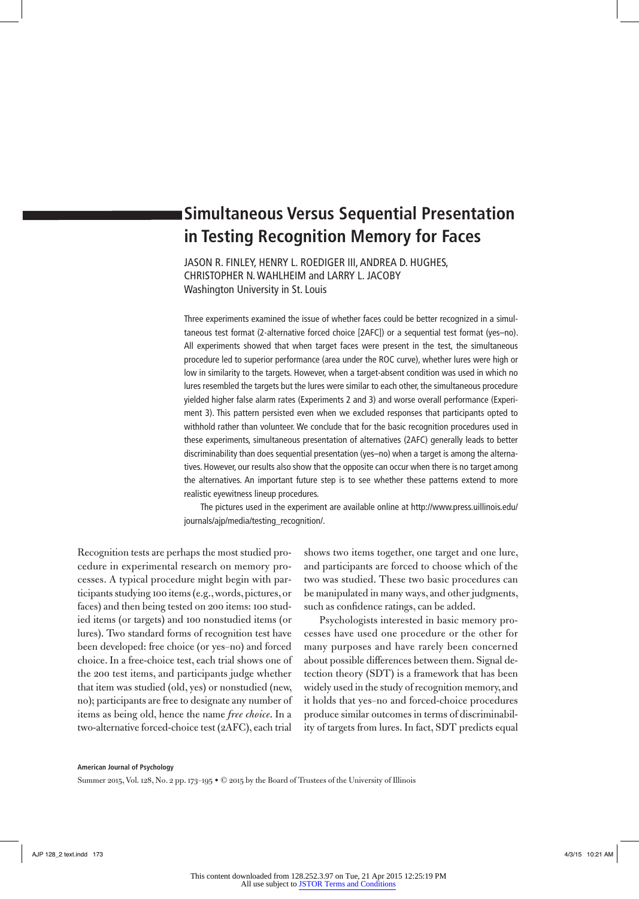# **Simultaneous Versus Sequential Presentation in Testing Recognition Memory for Faces**

JASON R. FINLEY, HENRY L. ROEDIGER III, ANDREA D. HUGHES, CHRISTOPHER N. WAHLHEIM and LARRY L. JACOBY Washington University in St. Louis

Three experiments examined the issue of whether faces could be better recognized in a simultaneous test format (2-alternative forced choice [2AFC]) or a sequential test format (yes–no). All experiments showed that when target faces were present in the test, the simultaneous procedure led to superior performance (area under the ROC curve), whether lures were high or low in similarity to the targets. However, when a target-absent condition was used in which no lures resembled the targets but the lures were similar to each other, the simultaneous procedure yielded higher false alarm rates (Experiments 2 and 3) and worse overall performance (Experiment 3). This pattern persisted even when we excluded responses that participants opted to withhold rather than volunteer. We conclude that for the basic recognition procedures used in these experiments, simultaneous presentation of alternatives (2AFC) generally leads to better discriminability than does sequential presentation (yes–no) when a target is among the alternatives. However, our results also show that the opposite can occur when there is no target among the alternatives. An important future step is to see whether these patterns extend to more realistic eyewitness lineup procedures.

 The pictures used in the experiment are available online at http://www.press.uillinois.edu/ journals/ajp/media/testing\_recognition/.

Recognition tests are perhaps the most studied procedure in experimental research on memory processes. A typical procedure might begin with participants studying 100 items (e.g., words, pictures, or faces) and then being tested on 200 items: 100 studied items (or targets) and 100 nonstudied items (or lures). Two standard forms of recognition test have been developed: free choice (or yes–no) and forced choice. In a free-choice test, each trial shows one of the 200 test items, and participants judge whether that item was studied (old, yes) or nonstudied (new, no); participants are free to designate any number of items as being old, hence the name *free choice*. In a two-alternative forced-choice test (2AFC), each trial shows two items together, one target and one lure, and participants are forced to choose which of the two was studied. These two basic procedures can be manipulated in many ways, and other judgments, such as confidence ratings, can be added.

Psychologists interested in basic memory processes have used one procedure or the other for many purposes and have rarely been concerned about possible differences between them. Signal detection theory (SDT) is a framework that has been widely used in the study of recognition memory, and it holds that yes–no and forced-choice procedures produce similar outcomes in terms of discriminability of targets from lures. In fact, SDT predicts equal

**American Journal of Psychology** 

Summer 2015, Vol. 128, No. 2 pp. 173–195 • © 2015 by the Board of Trustees of the University of Illinois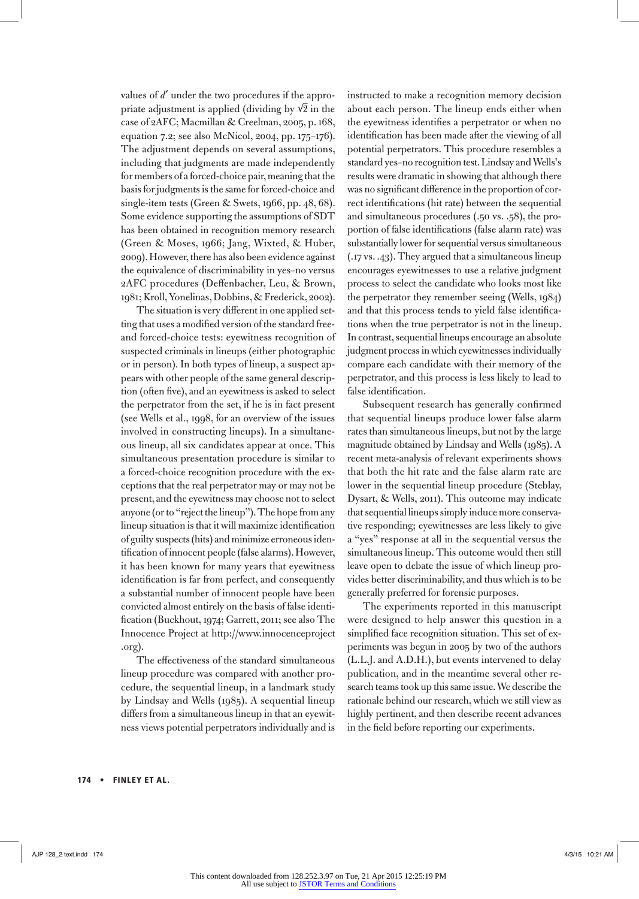values of *d*′ under the two procedures if the appropriate adjustment is applied (dividing by  $\sqrt{2}$  in the case of 2AFC; Macmillan & Creelman, 2005, p. 168, equation 7.2; see also McNicol, 2004, pp. 175–176). The adjustment depends on several assumptions, including that judgments are made independently for members of a forced-choice pair, meaning that the basis for judgments is the same for forced-choice and single-item tests (Green & Swets, 1966, pp. 48, 68). Some evidence supporting the assumptions of SDT has been obtained in recognition memory research (Green & Moses, 1966; Jang, Wixted, & Huber, 2009). However, there has also been evidence against the equivalence of discriminability in yes–no versus 2AFC procedures (Deffenbacher, Leu, & Brown, 1981; Kroll, Yonelinas, Dobbins, & Frederick, 2002).

The situation is very different in one applied setting that uses a modified version of the standard freeand forced-choice tests: eyewitness recognition of suspected criminals in lineups (either photographic or in person). In both types of lineup, a suspect appears with other people of the same general description (often five), and an eyewitness is asked to select the perpetrator from the set, if he is in fact present (see Wells et al., 1998, for an overview of the issues involved in constructing lineups). In a simultaneous lineup, all six candidates appear at once. This simultaneous presentation procedure is similar to a forced-choice recognition procedure with the exceptions that the real perpetrator may or may not be present, and the eyewitness may choose not to select anyone (or to "reject the lineup"). The hope from any lineup situation is that it will maximize identification of guilty suspects (hits) and minimize erroneous identification of innocent people (false alarms). However, it has been known for many years that eyewitness identification is far from perfect, and consequently a substantial number of innocent people have been convicted almost entirely on the basis of false identification (Buckhout, 1974; Garrett, 2011; see also The Innocence Project at http://www.innocenceproject .org).

The effectiveness of the standard simultaneous lineup procedure was compared with another procedure, the sequential lineup, in a landmark study by Lindsay and Wells (1985). A sequential lineup differs from a simultaneous lineup in that an eyewitness views potential perpetrators individually and is

instructed to make a recognition memory decision about each person. The lineup ends either when the eyewitness identifies a perpetrator or when no identification has been made after the viewing of all potential perpetrators. This procedure resembles a standard yes–no recognition test. Lindsay and Wells's results were dramatic in showing that although there was no significant difference in the proportion of correct identifications (hit rate) between the sequential and simultaneous procedures (.50 vs. .58), the proportion of false identifications (false alarm rate) was substantially lower for sequential versus simultaneous (.17 vs. .43). They argued that a simultaneous lineup encourages eyewitnesses to use a relative judgment process to select the candidate who looks most like the perpetrator they remember seeing (Wells, 1984) and that this process tends to yield false identifications when the true perpetrator is not in the lineup. In contrast, sequential lineups encourage an absolute judgment process in which eyewitnesses individually compare each candidate with their memory of the perpetrator, and this process is less likely to lead to false identification.

Subsequent research has generally confirmed that sequential lineups produce lower false alarm rates than simultaneous lineups, but not by the large magnitude obtained by Lindsay and Wells (1985). A recent meta-analysis of relevant experiments shows that both the hit rate and the false alarm rate are lower in the sequential lineup procedure (Steblay, Dysart, & Wells, 2011). This outcome may indicate that sequential lineups simply induce more conservative responding; eyewitnesses are less likely to give a "yes" response at all in the sequential versus the simultaneous lineup. This outcome would then still leave open to debate the issue of which lineup provides better discriminability, and thus which is to be generally preferred for forensic purposes.

The experiments reported in this manuscript were designed to help answer this question in a simplified face recognition situation. This set of experiments was begun in 2005 by two of the authors (L.L.J. and A.D.H.), but events intervened to delay publication, and in the meantime several other research teams took up this same issue. We describe the rationale behind our research, which we still view as highly pertinent, and then describe recent advances in the field before reporting our experiments.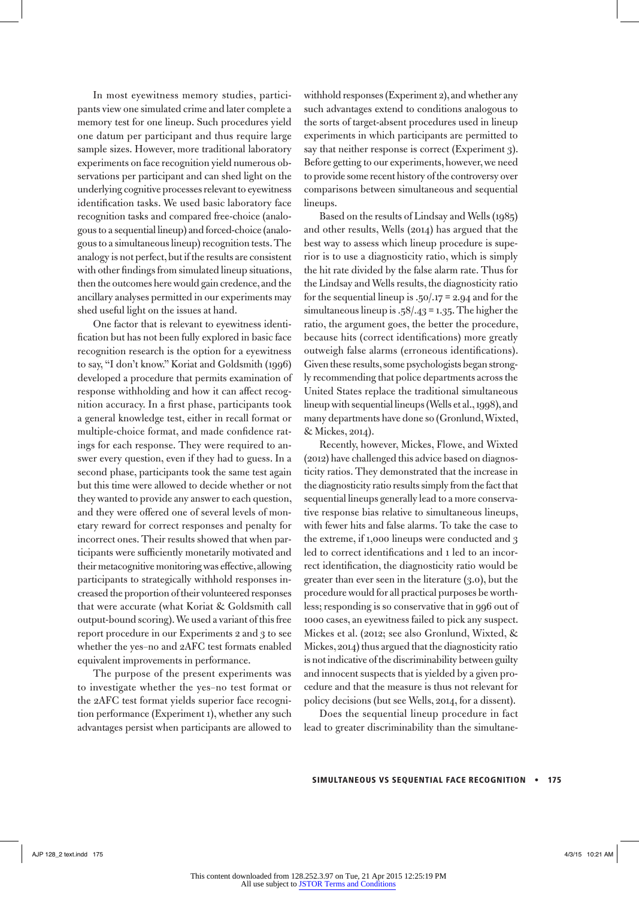In most eyewitness memory studies, participants view one simulated crime and later complete a memory test for one lineup. Such procedures yield one datum per participant and thus require large sample sizes. However, more traditional laboratory experiments on face recognition yield numerous observations per participant and can shed light on the underlying cognitive processes relevant to eyewitness identification tasks. We used basic laboratory face recognition tasks and compared free-choice (analogous to a sequential lineup) and forced-choice (analogous to a simultaneous lineup) recognition tests. The analogy is not perfect, but if the results are consistent with other findings from simulated lineup situations, then the outcomes here would gain credence, and the ancillary analyses permitted in our experiments may shed useful light on the issues at hand.

One factor that is relevant to eyewitness identification but has not been fully explored in basic face recognition research is the option for a eyewitness to say, "I don't know." Koriat and Goldsmith (1996) developed a procedure that permits examination of response withholding and how it can affect recognition accuracy. In a first phase, participants took a general knowledge test, either in recall format or multiple-choice format, and made confidence ratings for each response. They were required to answer every question, even if they had to guess. In a second phase, participants took the same test again but this time were allowed to decide whether or not they wanted to provide any answer to each question, and they were offered one of several levels of monetary reward for correct responses and penalty for incorrect ones. Their results showed that when participants were sufficiently monetarily motivated and their metacognitive monitoring was effective, allowing participants to strategically withhold responses increased the proportion of their volunteered responses that were accurate (what Koriat & Goldsmith call output-bound scoring). We used a variant of this free report procedure in our Experiments 2 and 3 to see whether the yes–no and 2AFC test formats enabled equivalent improvements in performance.

The purpose of the present experiments was to investigate whether the yes–no test format or the 2AFC test format yields superior face recognition performance (Experiment 1), whether any such advantages persist when participants are allowed to withhold responses (Experiment 2), and whether any such advantages extend to conditions analogous to the sorts of target-absent procedures used in lineup experiments in which participants are permitted to say that neither response is correct (Experiment 3). Before getting to our experiments, however, we need to provide some recent history of the controversy over comparisons between simultaneous and sequential lineups.

Based on the results of Lindsay and Wells (1985) and other results, Wells (2014) has argued that the best way to assess which lineup procedure is superior is to use a diagnosticity ratio, which is simply the hit rate divided by the false alarm rate. Thus for the Lindsay and Wells results, the diagnosticity ratio for the sequential lineup is  $.50/.17 = 2.94$  and for the simultaneous lineup is .58/.43 = 1.35. The higher the ratio, the argument goes, the better the procedure, because hits (correct identifications) more greatly outweigh false alarms (erroneous identifications). Given these results, some psychologists began strongly recommending that police departments across the United States replace the traditional simultaneous lineup with sequential lineups (Wells et al., 1998), and many departments have done so (Gronlund, Wixted, & Mickes, 2014).

Recently, however, Mickes, Flowe, and Wixted (2012) have challenged this advice based on diagnosticity ratios. They demonstrated that the increase in the diagnosticity ratio results simply from the fact that sequential lineups generally lead to a more conservative response bias relative to simultaneous lineups, with fewer hits and false alarms. To take the case to the extreme, if 1,000 lineups were conducted and 3 led to correct identifications and 1 led to an incorrect identification, the diagnosticity ratio would be greater than ever seen in the literature (3.0), but the procedure would for all practical purposes be worthless; responding is so conservative that in 996 out of 1000 cases, an eyewitness failed to pick any suspect. Mickes et al. (2012; see also Gronlund, Wixted, & Mickes, 2014) thus argued that the diagnosticity ratio is not indicative of the discriminability between guilty and innocent suspects that is yielded by a given procedure and that the measure is thus not relevant for policy decisions (but see Wells, 2014, for a dissent).

Does the sequential lineup procedure in fact lead to greater discriminability than the simultane-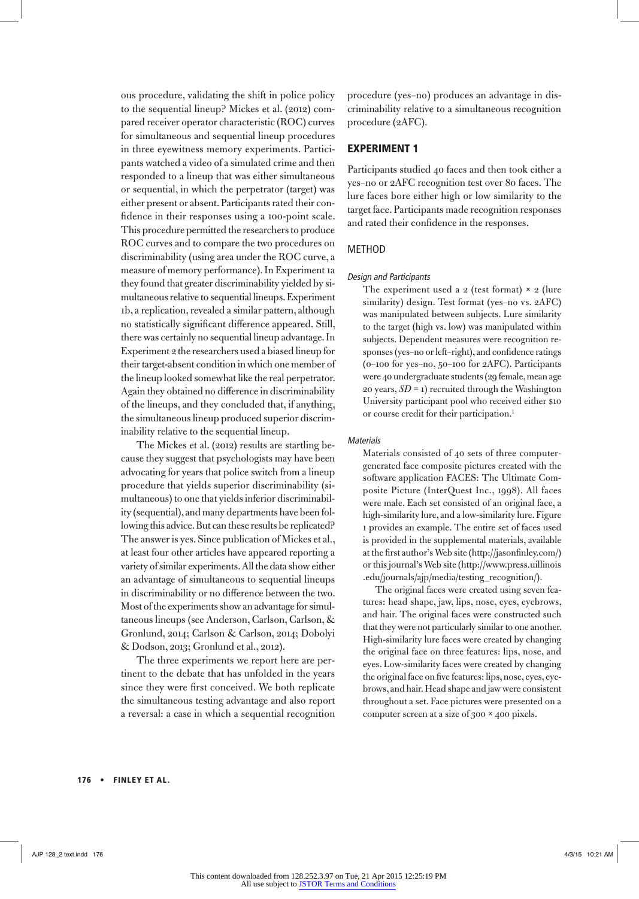ous procedure, validating the shift in police policy to the sequential lineup? Mickes et al. (2012) compared receiver operator characteristic (ROC) curves for simultaneous and sequential lineup procedures in three eyewitness memory experiments. Participants watched a video of a simulated crime and then responded to a lineup that was either simultaneous or sequential, in which the perpetrator (target) was either present or absent. Participants rated their confidence in their responses using a 100-point scale. This procedure permitted the researchers to produce ROC curves and to compare the two procedures on discriminability (using area under the ROC curve, a measure of memory performance). In Experiment 1a they found that greater discriminability yielded by simultaneous relative to sequential lineups. Experiment 1b, a replication, revealed a similar pattern, although no statistically significant difference appeared. Still, there was certainly no sequential lineup advantage. In Experiment 2 the researchers used a biased lineup for their target-absent condition in which one member of the lineup looked somewhat like the real perpetrator. Again they obtained no difference in discriminability of the lineups, and they concluded that, if anything, the simultaneous lineup produced superior discriminability relative to the sequential lineup.

The Mickes et al. (2012) results are startling because they suggest that psychologists may have been advocating for years that police switch from a lineup procedure that yields superior discriminability (simultaneous) to one that yields inferior discriminability (sequential), and many departments have been following this advice. But can these results be replicated? The answer is yes. Since publication of Mickes et al., at least four other articles have appeared reporting a variety of similar experiments. All the data show either an advantage of simultaneous to sequential lineups in discriminability or no difference between the two. Most of the experiments show an advantage for simultaneous lineups (see Anderson, Carlson, Carlson, & Gronlund, 2014; Carlson & Carlson, 2014; Dobolyi & Dodson, 2013; Gronlund et al., 2012).

The three experiments we report here are pertinent to the debate that has unfolded in the years since they were first conceived. We both replicate the simultaneous testing advantage and also report a reversal: a case in which a sequential recognition procedure (yes–no) produces an advantage in discriminability relative to a simultaneous recognition procedure (2AFC).

# EXPERIMENT 1

Participants studied 40 faces and then took either a yes–no or 2AFC recognition test over 80 faces. The lure faces bore either high or low similarity to the target face. Participants made recognition responses and rated their confidence in the responses.

# METHOD

#### Design and Participants

The experiment used a 2 (test format)  $\times$  2 (lure similarity) design. Test format (yes–no vs. 2AFC) was manipulated between subjects. Lure similarity to the target (high vs. low) was manipulated within subjects. Dependent measures were recognition responses (yes–no or left–right), and confidence ratings (0–100 for yes–no, 50–100 for 2AFC). Participants were 40 undergraduate students (29 female, mean age 20 years, *SD* = 1) recruited through the Washington University participant pool who received either \$10 or course credit for their participation.<sup>1</sup>

#### **Materials**

Materials consisted of 40 sets of three computergenerated face composite pictures created with the software application FACES: The Ultimate Composite Picture (InterQuest Inc., 1998). All faces were male. Each set consisted of an original face, a high-similarity lure, and a low-similarity lure. Figure 1 provides an example. The entire set of faces used is provided in the supplemental materials, available at the first author's Web site (http://jasonfinley.com/) or this journal's Web site (http://www.press.uillinois .edu/journals/ajp/media/testing\_recognition/).

The original faces were created using seven features: head shape, jaw, lips, nose, eyes, eyebrows, and hair. The original faces were constructed such that they were not particularly similar to one another. High-similarity lure faces were created by changing the original face on three features: lips, nose, and eyes. Low-similarity faces were created by changing the original face on five features: lips, nose, eyes, eyebrows, and hair. Head shape and jaw were consistent throughout a set. Face pictures were presented on a computer screen at a size of 300 × 400 pixels.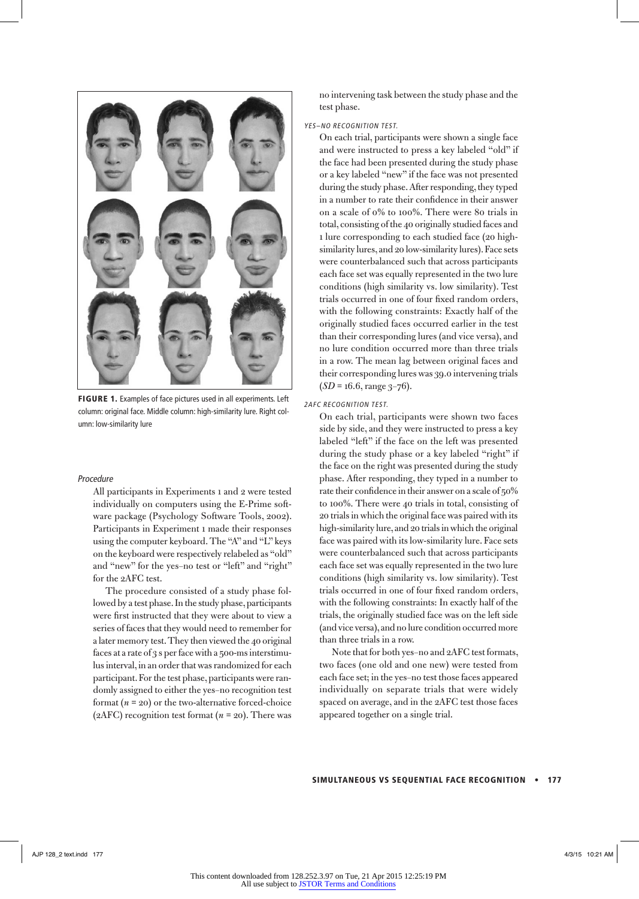

FIGURE 1. Examples of face pictures used in all experiments. Left column: original face. Middle column: high-similarity lure. Right column: low-similarity lure

# Procedure

All participants in Experiments 1 and 2 were tested individually on computers using the E-Prime software package (Psychology Software Tools, 2002). Participants in Experiment 1 made their responses using the computer keyboard. The "A" and "L" keys on the keyboard were respectively relabeled as "old" and "new" for the yes–no test or "left" and "right" for the 2AFC test.

The procedure consisted of a study phase followed by a test phase. In the study phase, participants were first instructed that they were about to view a series of faces that they would need to remember for a later memory test. They then viewed the 40 original faces at a rate of 3 s per face with a 500-ms interstimulus interval, in an order that was randomized for each participant. For the test phase, participants were randomly assigned to either the yes–no recognition test format  $(n = 20)$  or the two-alternative forced-choice (2AFC) recognition test format  $(n = 20)$ . There was no intervening task between the study phase and the test phase.

#### YES–NO RECOGNITION TEST.

On each trial, participants were shown a single face and were instructed to press a key labeled "old" if the face had been presented during the study phase or a key labeled "new" if the face was not presented during the study phase. After responding, they typed in a number to rate their confidence in their answer on a scale of 0% to 100%. There were 80 trials in total, consisting of the 40 originally studied faces and 1 lure corresponding to each studied face (20 highsimilarity lures, and 20 low-similarity lures). Face sets were counterbalanced such that across participants each face set was equally represented in the two lure conditions (high similarity vs. low similarity). Test trials occurred in one of four fixed random orders, with the following constraints: Exactly half of the originally studied faces occurred earlier in the test than their corresponding lures (and vice versa), and no lure condition occurred more than three trials in a row. The mean lag between original faces and their corresponding lures was 39.0 intervening trials  $(SD = 16.6, \text{range } 3 - 76).$ 

# 2AFC RECOGNITION TEST.

On each trial, participants were shown two faces side by side, and they were instructed to press a key labeled "left" if the face on the left was presented during the study phase or a key labeled "right" if the face on the right was presented during the study phase. After responding, they typed in a number to rate their confidence in their answer on a scale of 50% to 100%. There were 40 trials in total, consisting of 20 trials in which the original face was paired with its high-similarity lure, and 20 trials in which the original face was paired with its low-similarity lure. Face sets were counterbalanced such that across participants each face set was equally represented in the two lure conditions (high similarity vs. low similarity). Test trials occurred in one of four fixed random orders, with the following constraints: In exactly half of the trials, the originally studied face was on the left side (and vice versa), and no lure condition occurred more than three trials in a row.

Note that for both yes–no and 2AFC test formats, two faces (one old and one new) were tested from each face set; in the yes–no test those faces appeared individually on separate trials that were widely spaced on average, and in the 2AFC test those faces appeared together on a single trial.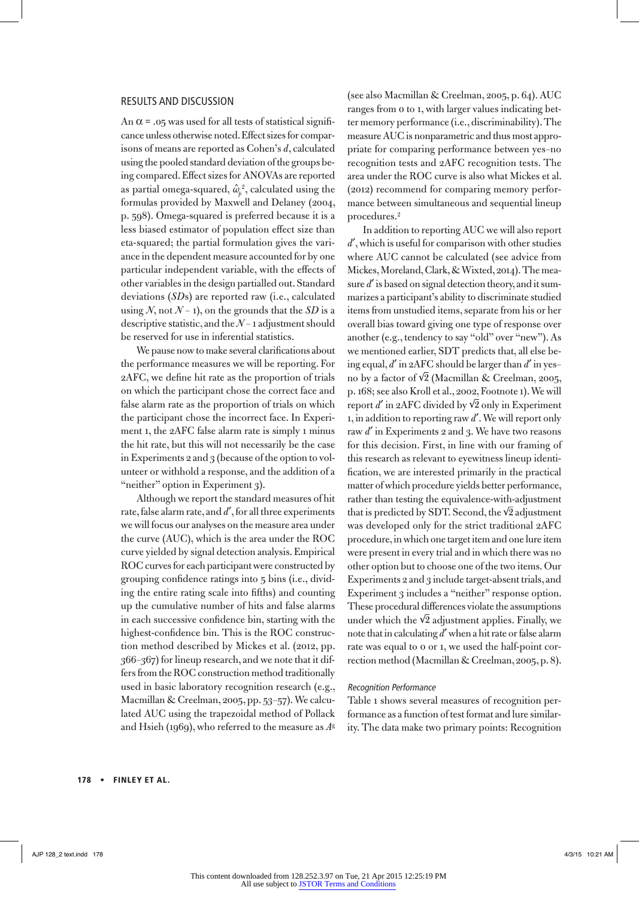### RESULTS AND DISCUSSION

An  $\alpha$  = .05 was used for all tests of statistical significance unless otherwise noted. Effect sizes for comparisons of means are reported as Cohen's *d*, calculated using the pooled standard deviation of the groups being compared. Effect sizes for ANOVAs are reported as partial omega-squared,  $\hat{\omega}_p^{\,2}$ , calculated using the formulas provided by Maxwell and Delaney (2004, p. 598). Omega-squared is preferred because it is a less biased estimator of population effect size than eta-squared; the partial formulation gives the variance in the dependent measure accounted for by one particular independent variable, with the effects of other variables in the design partialled out. Standard deviations (*SD*s) are reported raw (i.e., calculated using *N*, not  $N-1$ , on the grounds that the *SD* is a descriptive statistic, and the *N* – 1 adjustment should be reserved for use in inferential statistics.

We pause now to make several clarifications about the performance measures we will be reporting. For 2AFC, we define hit rate as the proportion of trials on which the participant chose the correct face and false alarm rate as the proportion of trials on which the participant chose the incorrect face. In Experiment 1, the 2AFC false alarm rate is simply 1 minus the hit rate, but this will not necessarily be the case in Experiments 2 and 3 (because of the option to volunteer or withhold a response, and the addition of a "neither" option in Experiment 3).

Although we report the standard measures of hit rate, false alarm rate, and *d*′, for all three experiments we will focus our analyses on the measure area under the curve (AUC), which is the area under the ROC curve yielded by signal detection analysis. Empirical ROC curves for each participant were constructed by grouping confidence ratings into 5 bins (i.e., dividing the entire rating scale into fifths) and counting up the cumulative number of hits and false alarms in each successive confidence bin, starting with the highest-confidence bin. This is the ROC construction method described by Mickes et al. (2012, pp. 366–367) for lineup research, and we note that it differs from the ROC construction method traditionally used in basic laboratory recognition research (e.g., Macmillan & Creelman, 2005, pp. 53–57). We calculated AUC using the trapezoidal method of Pollack and Hsieh (1969), who referred to the measure as *A*<sup>g</sup> (see also Macmillan & Creelman, 2005, p. 64). AUC ranges from 0 to 1, with larger values indicating better memory performance (i.e., discriminability). The measure AUC is nonparametric and thus most appropriate for comparing performance between yes–no recognition tests and 2AFC recognition tests. The area under the ROC curve is also what Mickes et al. (2012) recommend for comparing memory performance between simultaneous and sequential lineup procedures.2

In addition to reporting AUC we will also report *d*′, which is useful for comparison with other studies where AUC cannot be calculated (see advice from Mickes, Moreland, Clark, & Wixted, 2014). The measure *d*′ is based on signal detection theory, and it summarizes a participant's ability to discriminate studied items from unstudied items, separate from his or her overall bias toward giving one type of response over another (e.g., tendency to say "old" over "new"). As we mentioned earlier, SDT predicts that, all else being equal, *d*′ in 2AFC should be larger than *d*′ in yes– no by a factor of  $\sqrt{2}$  (Macmillan & Creelman, 2005, p. 168; see also Kroll et al., 2002, Footnote 1). We will report  $d'$  in 2AFC divided by  $\sqrt{2}$  only in Experiment 1, in addition to reporting raw *d*′. We will report only raw *d*′ in Experiments 2 and 3. We have two reasons for this decision. First, in line with our framing of this research as relevant to eyewitness lineup identification, we are interested primarily in the practical matter of which procedure yields better performance, rather than testing the equivalence-with-adjustment that is predicted by SDT. Second, the  $\sqrt{2}$  adjustment was developed only for the strict traditional 2AFC procedure, in which one target item and one lure item were present in every trial and in which there was no other option but to choose one of the two items. Our Experiments 2 and 3 include target-absent trials, and Experiment 3 includes a "neither" response option. These procedural differences violate the assumptions under which the  $\sqrt{2}$  adjustment applies. Finally, we note that in calculating *d*′ when a hit rate or false alarm rate was equal to 0 or 1, we used the half-point correction method (Macmillan & Creelman, 2005, p. 8).

#### Recognition Performance

Table 1 shows several measures of recognition performance as a function of test format and lure similarity. The data make two primary points: Recognition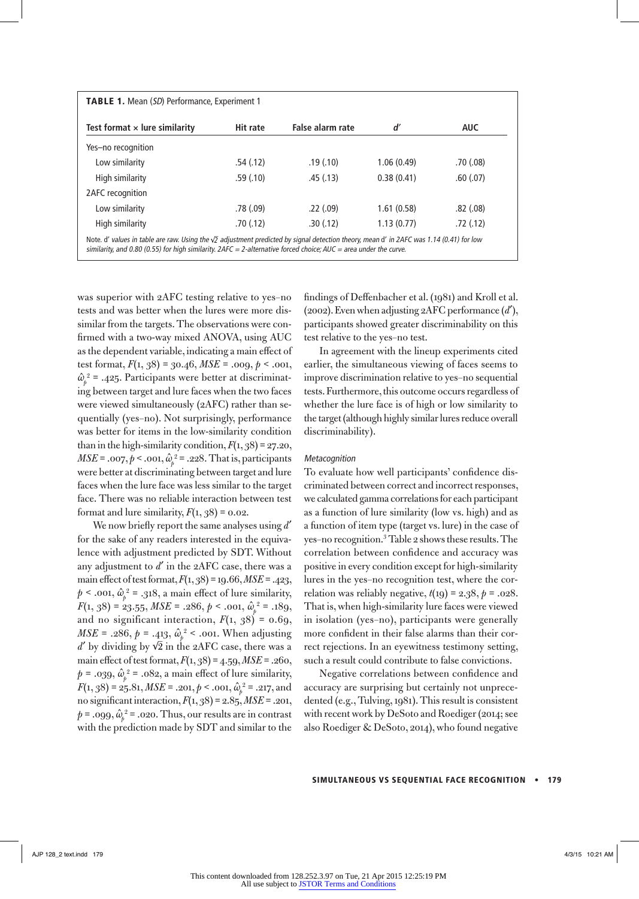| Test format $\times$ lure similarity | <b>Hit rate</b> | False alarm rate | ď          | <b>AUC</b> |
|--------------------------------------|-----------------|------------------|------------|------------|
| Yes-no recognition                   |                 |                  |            |            |
| Low similarity                       | .54(.12)        | .19(.10)         | 1.06(0.49) | .70(0.08)  |
| High similarity                      | .59(.10)        | .45(.13)         | 0.38(0.41) | .60(.07)   |
| 2AFC recognition                     |                 |                  |            |            |
| Low similarity                       | .78(0.09)       | .22(.09)         | 1.61(0.58) | .82(.08)   |
| High similarity                      | .70(.12)        | .30(.12)         | 1.13(0.77) | .72(.12)   |

was superior with 2AFC testing relative to yes–no tests and was better when the lures were more dissimilar from the targets. The observations were confirmed with a two-way mixed ANOVA, using AUC as the dependent variable, indicating a main effect of test format,  $F(1, 38) = 30.46$ ,  $MSE = .009$ ,  $p < .001$ ,  $\hat{\omega}_p^2$  = .425. Participants were better at discriminating between target and lure faces when the two faces were viewed simultaneously (2AFC) rather than sequentially (yes–no). Not surprisingly, performance was better for items in the low-similarity condition than in the high-similarity condition,  $F(1, 38) = 27.20$ ,  $MSE = .007, p < .001, \hat{\omega}_p^2 = .228$ . That is, participants were better at discriminating between target and lure faces when the lure face was less similar to the target face. There was no reliable interaction between test format and lure similarity,  $F(1, 38) = 0.02$ .

We now briefly report the same analyses using *d*′ for the sake of any readers interested in the equivalence with adjustment predicted by SDT. Without any adjustment to *d*′ in the 2AFC case, there was a main effect of test format, *F*(1, 38) = 19.66, *MSE* = .423,  $p < .001$ ,  $\hat{\omega}_p^2 = .318$ , a main effect of lure similarity, *F*(1, 38) = 23.55, *MSE* = .286, *p* < .001,  $\hat{\omega}_p^2$  = .189, and no significant interaction,  $F(1, 38) = 0.69$ , *MSE* = .286,  $p = .413$ ,  $\hat{\omega}_p^2$  < .001. When adjusting  $d'$  by dividing by  $\sqrt{2}$  in the 2AFC case, there was a main effect of test format, *F*(1, 38) = 4.59, *MSE* = .260,  $p = .039, \hat{\omega}_p^2 = .082$ , a main effect of lure similarity, *F*(1, 38) = 25.81, *MSE* = .201,  $p < .001$ ,  $\hat{\omega}_p^2$  = .217, and no significant interaction, *F*(1, 38) = 2.85, *MSE* = .201,  $p = .099, \hat{\omega}_p^2 = .020$ . Thus, our results are in contrast with the prediction made by SDT and similar to the findings of Deffenbacher et al. (1981) and Kroll et al. (2002). Even when adjusting 2AFC performance (*d*′), participants showed greater discriminability on this test relative to the yes–no test.

In agreement with the lineup experiments cited earlier, the simultaneous viewing of faces seems to improve discrimination relative to yes–no sequential tests. Furthermore, this outcome occurs regardless of whether the lure face is of high or low similarity to the target (although highly similar lures reduce overall discriminability).

# Metacognition

To evaluate how well participants' confidence discriminated between correct and incorrect responses, we calculated gamma correlations for each participant as a function of lure similarity (low vs. high) and as a function of item type (target vs. lure) in the case of yes-no recognition.<sup>3</sup> Table 2 shows these results. The correlation between confidence and accuracy was positive in every condition except for high-similarity lures in the yes–no recognition test, where the correlation was reliably negative,  $t(19) = 2.38, p = .028$ . That is, when high-similarity lure faces were viewed in isolation (yes–no), participants were generally more confident in their false alarms than their correct rejections. In an eyewitness testimony setting, such a result could contribute to false convictions.

Negative correlations between confidence and accuracy are surprising but certainly not unprecedented (e.g., Tulving, 1981). This result is consistent with recent work by DeSoto and Roediger (2014; see also Roediger & DeSoto, 2014), who found negative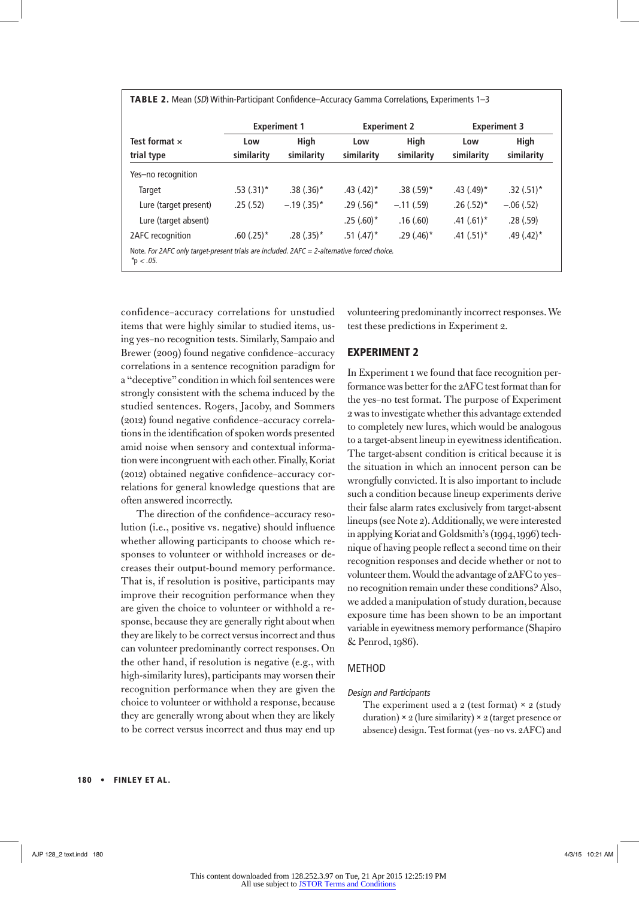|                                                                                                                     | <b>Experiment 1</b> |              |                          | <b>Experiment 2</b>     | <b>Experiment 3</b>     |                         |
|---------------------------------------------------------------------------------------------------------------------|---------------------|--------------|--------------------------|-------------------------|-------------------------|-------------------------|
| Test format x                                                                                                       | Low                 | High         | Low                      | High                    | Low                     | High                    |
| trial type                                                                                                          | similarity          | similarity   | similarity               | similarity              | similarity              | similarity              |
| Yes-no recognition                                                                                                  |                     |              |                          |                         |                         |                         |
| Target                                                                                                              | $.53(.31)$ *        | $.38(.36)^*$ | $.43$ (.42) <sup>*</sup> | $.38(.59)$ <sup>*</sup> | $.43(.49)$ <sup>*</sup> | $.32(.51)^*$            |
| Lure (target present)                                                                                               | .25(.52)            | $-.19(.35)*$ | $.29(.56)$ *             | $-.11(.59)$             | $.26(.52)$ *            | $-.06(.52)$             |
| Lure (target absent)                                                                                                |                     |              | $.25(.60)$ *             | .16(.60)                | $.41(.61)$ *            | .28(.59)                |
| 2AFC recognition                                                                                                    | $.60(.25)$ *        | $.28(.35)$ * | $.51(.47)$ *             | $.29(.46)$ <sup>*</sup> | $.41(.51)$ <sup>*</sup> | $.49(.42)$ <sup>*</sup> |
| Note. For 2AFC only target-present trials are included. $2AFC = 2$ -alternative forced choice.<br>$_{\rm p}$ < .05. |                     |              |                          |                         |                         |                         |

confidence–accuracy correlations for unstudied items that were highly similar to studied items, using yes–no recognition tests. Similarly, Sampaio and Brewer (2009) found negative confidence–accuracy correlations in a sentence recognition paradigm for a "deceptive" condition in which foil sentences were strongly consistent with the schema induced by the studied sentences. Rogers, Jacoby, and Sommers (2012) found negative confidence–accuracy correlations in the identification of spoken words presented amid noise when sensory and contextual information were incongruent with each other. Finally, Koriat (2012) obtained negative confidence–accuracy correlations for general knowledge questions that are often answered incorrectly.

The direction of the confidence–accuracy resolution (i.e., positive vs. negative) should influence whether allowing participants to choose which responses to volunteer or withhold increases or decreases their output-bound memory performance. That is, if resolution is positive, participants may improve their recognition performance when they are given the choice to volunteer or withhold a response, because they are generally right about when they are likely to be correct versus incorrect and thus can volunteer predominantly correct responses. On the other hand, if resolution is negative (e.g., with high-similarity lures), participants may worsen their recognition performance when they are given the choice to volunteer or withhold a response, because they are generally wrong about when they are likely to be correct versus incorrect and thus may end up volunteering predominantly incorrect responses. We test these predictions in Experiment 2.

# EXPERIMENT 2

In Experiment 1 we found that face recognition performance was better for the 2AFC test format than for the yes–no test format. The purpose of Experiment 2 was to investigate whether this advantage extended to completely new lures, which would be analogous to a target-absent lineup in eyewitness identification. The target-absent condition is critical because it is the situation in which an innocent person can be wrongfully convicted. It is also important to include such a condition because lineup experiments derive their false alarm rates exclusively from target-absent lineups (see Note 2). Additionally, we were interested in applying Koriat and Goldsmith's (1994, 1996) technique of having people reflect a second time on their recognition responses and decide whether or not to volunteer them. Would the advantage of 2AFC to yes– no recognition remain under these conditions? Also, we added a manipulation of study duration, because exposure time has been shown to be an important variable in eyewitness memory performance (Shapiro & Penrod, 1986).

## METHOD

#### Design and Participants

The experiment used a 2 (test format)  $\times$  2 (study duration)  $\times$  2 (lure similarity)  $\times$  2 (target presence or absence) design. Test format (yes–no vs. 2AFC) and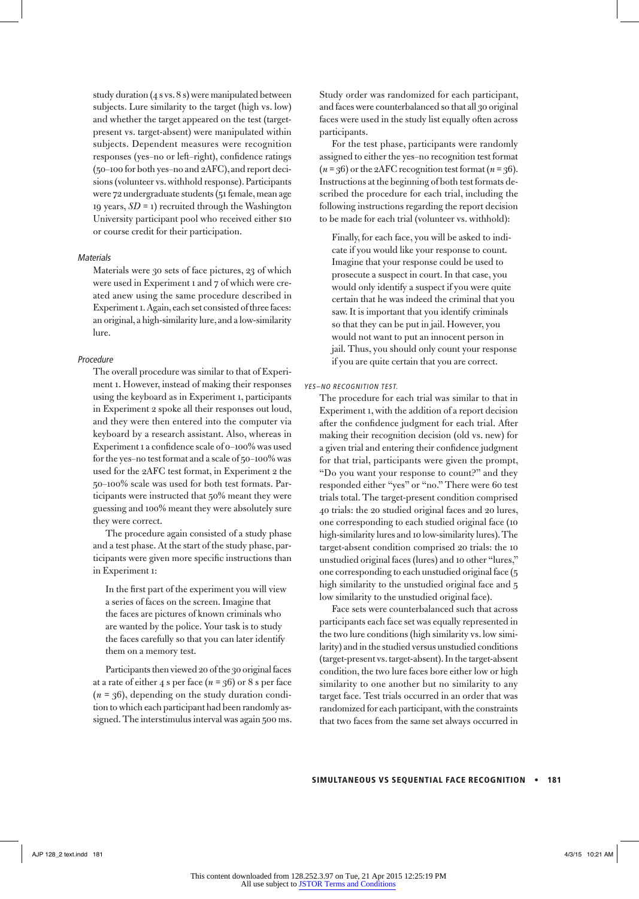study duration (4 s vs. 8 s) were manipulated between subjects. Lure similarity to the target (high vs. low) and whether the target appeared on the test (targetpresent vs. target-absent) were manipulated within subjects. Dependent measures were recognition responses (yes–no or left–right), confidence ratings (50–100 for both yes–no and 2AFC), and report decisions (volunteer vs. withhold response). Participants were 72 undergraduate students (51 female, mean age 19 years, *SD* = 1) recruited through the Washington University participant pool who received either \$10 or course credit for their participation.

### **Materials**

Materials were 30 sets of face pictures, 23 of which were used in Experiment 1 and 7 of which were created anew using the same procedure described in Experiment 1. Again, each set consisted of three faces: an original, a high-similarity lure, and a low-similarity lure.

#### Procedure

The overall procedure was similar to that of Experiment 1. However, instead of making their responses using the keyboard as in Experiment 1, participants in Experiment 2 spoke all their responses out loud, and they were then entered into the computer via keyboard by a research assistant. Also, whereas in Experiment 1 a confidence scale of 0–100% was used for the yes–no test format and a scale of 50–100% was used for the 2AFC test format, in Experiment 2 the 50–100% scale was used for both test formats. Participants were instructed that 50% meant they were guessing and 100% meant they were absolutely sure they were correct.

The procedure again consisted of a study phase and a test phase. At the start of the study phase, participants were given more specific instructions than in Experiment 1:

In the first part of the experiment you will view a series of faces on the screen. Imagine that the faces are pictures of known criminals who are wanted by the police. Your task is to study the faces carefully so that you can later identify them on a memory test.

Participants then viewed 20 of the 30 original faces at a rate of either  $4 s$  per face  $(n = 36)$  or  $8 s$  per face  $(n = 36)$ , depending on the study duration condition to which each participant had been randomly assigned. The interstimulus interval was again 500 ms. Study order was randomized for each participant, and faces were counterbalanced so that all 30 original faces were used in the study list equally often across participants.

For the test phase, participants were randomly assigned to either the yes–no recognition test format  $(n=36)$  or the 2AFC recognition test format  $(n=36)$ . Instructions at the beginning of both test formats described the procedure for each trial, including the following instructions regarding the report decision to be made for each trial (volunteer vs. withhold):

Finally, for each face, you will be asked to indicate if you would like your response to count. Imagine that your response could be used to prosecute a suspect in court. In that case, you would only identify a suspect if you were quite certain that he was indeed the criminal that you saw. It is important that you identify criminals so that they can be put in jail. However, you would not want to put an innocent person in jail. Thus, you should only count your response if you are quite certain that you are correct.

#### YES–NO RECOGNITION TEST.

The procedure for each trial was similar to that in Experiment 1, with the addition of a report decision after the confidence judgment for each trial. After making their recognition decision (old vs. new) for a given trial and entering their confidence judgment for that trial, participants were given the prompt, "Do you want your response to count?" and they responded either "yes" or "no." There were 60 test trials total. The target-present condition comprised 40 trials: the 20 studied original faces and 20 lures, one corresponding to each studied original face (10 high-similarity lures and 10 low-similarity lures). The target-absent condition comprised 20 trials: the 10 unstudied original faces (lures) and 10 other "lures," one corresponding to each unstudied original face (5 high similarity to the unstudied original face and 5 low similarity to the unstudied original face).

Face sets were counterbalanced such that across participants each face set was equally represented in the two lure conditions (high similarity vs. low similarity) and in the studied versus unstudied conditions (target-present vs. target-absent). In the target-absent condition, the two lure faces bore either low or high similarity to one another but no similarity to any target face. Test trials occurred in an order that was randomized for each participant, with the constraints that two faces from the same set always occurred in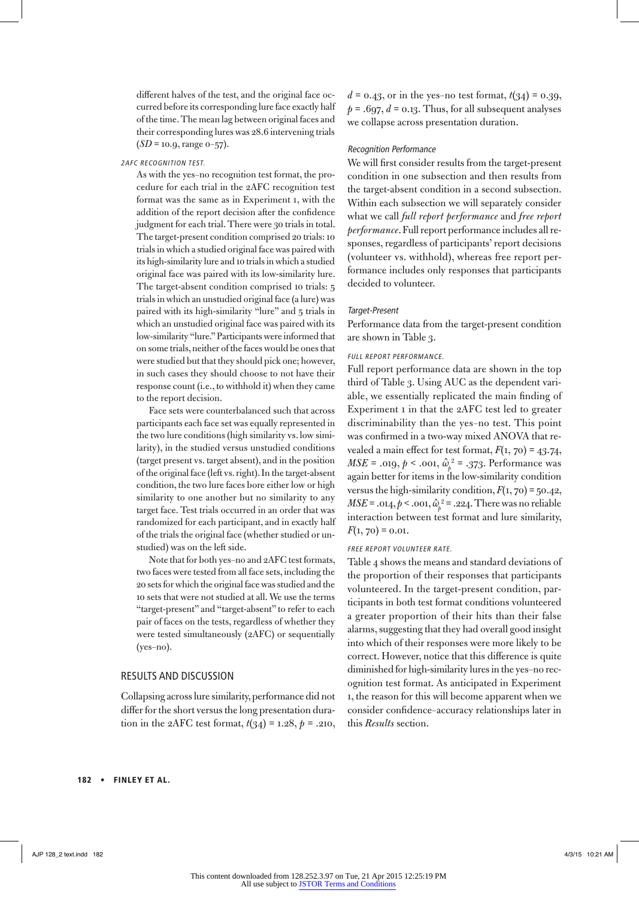different halves of the test, and the original face occurred before its corresponding lure face exactly half of the time. The mean lag between original faces and their corresponding lures was 28.6 intervening trials  $(SD = 10.9, \text{range } 0 - 57).$ 

2AFC RECOGNITION TEST.

As with the yes–no recognition test format, the procedure for each trial in the 2AFC recognition test format was the same as in Experiment 1, with the addition of the report decision after the confidence judgment for each trial. There were 30 trials in total. The target-present condition comprised 20 trials: 10 trials in which a studied original face was paired with its high-similarity lure and 10 trials in which a studied original face was paired with its low-similarity lure. The target-absent condition comprised 10 trials: 5 trials in which an unstudied original face (a lure) was paired with its high-similarity "lure" and 5 trials in which an unstudied original face was paired with its low-similarity "lure." Participants were informed that on some trials, neither of the faces would be ones that were studied but that they should pick one; however, in such cases they should choose to not have their response count (i.e., to withhold it) when they came to the report decision.

Face sets were counterbalanced such that across participants each face set was equally represented in the two lure conditions (high similarity vs. low similarity), in the studied versus unstudied conditions (target present vs. target absent), and in the position of the original face (left vs. right). In the target-absent condition, the two lure faces bore either low or high similarity to one another but no similarity to any target face. Test trials occurred in an order that was randomized for each participant, and in exactly half of the trials the original face (whether studied or unstudied) was on the left side.

Note that for both yes–no and 2AFC test formats, two faces were tested from all face sets, including the 20 sets for which the original face was studied and the 10 sets that were not studied at all. We use the terms "target-present" and "target-absent" to refer to each pair of faces on the tests, regardless of whether they were tested simultaneously (2AFC) or sequentially (yes–no).

# RESULTS AND DISCUSSION

Collapsing across lure similarity, performance did not differ for the short versus the long presentation duration in the 2AFC test format,  $t(34) = 1.28, p = .210,$ 

*d* = 0.43, or in the yes–no test format,  $t(34) = 0.39$ ,  $p = .697, d = 0.13$ . Thus, for all subsequent analyses we collapse across presentation duration.

# Recognition Performance

We will first consider results from the target-present condition in one subsection and then results from the target-absent condition in a second subsection. Within each subsection we will separately consider what we call *full report performance* and *free report performance*. Full report performance includes all responses, regardless of participants' report decisions (volunteer vs. withhold), whereas free report performance includes only responses that participants decided to volunteer.

### Target-Present

Performance data from the target-present condition are shown in Table 3.

#### FULL REPORT PERFORMANCE.

Full report performance data are shown in the top third of Table 3. Using AUC as the dependent variable, we essentially replicated the main finding of Experiment 1 in that the 2AFC test led to greater discriminability than the yes–no test. This point was confirmed in a two-way mixed ANOVA that revealed a main effect for test format,  $F(1, 70) = 43.74$ , *MSE* = .019, *p* < .001,  $\hat{\omega}_p^2$  = .373. Performance was again better for items in the low-similarity condition versus the high-similarity condition,  $F(1, 70) = 50.42$ , *MSE* = .014,  $p < .001$ ,  $\hat{\omega}_p^2 = .224$ . There was no reliable interaction between test format and lure similarity,  $F(1, 70) = 0.01$ .

#### FREE REPORT VOLUNTEER RATE.

Table 4 shows the means and standard deviations of the proportion of their responses that participants volunteered. In the target-present condition, participants in both test format conditions volunteered a greater proportion of their hits than their false alarms, suggesting that they had overall good insight into which of their responses were more likely to be correct. However, notice that this difference is quite diminished for high-similarity lures in the yes–no recognition test format. As anticipated in Experiment 1, the reason for this will become apparent when we consider confidence–accuracy relationships later in this *Results* section.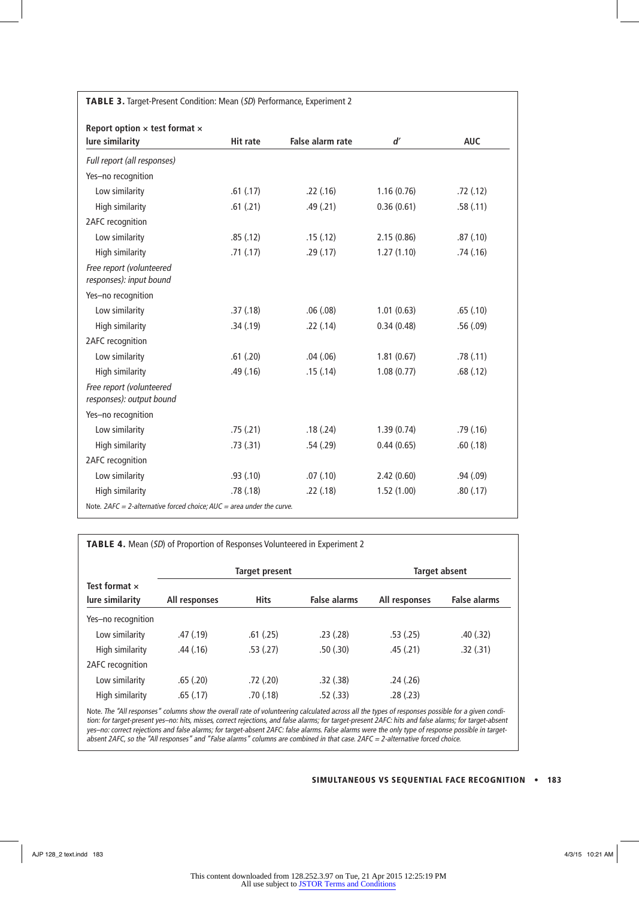| Report option × test format ×                        |                 |                  |            |            |
|------------------------------------------------------|-----------------|------------------|------------|------------|
| lure similarity                                      | <b>Hit rate</b> | False alarm rate | ď          | <b>AUC</b> |
| Full report (all responses)                          |                 |                  |            |            |
| Yes-no recognition                                   |                 |                  |            |            |
| Low similarity                                       | .61(.17)        | .22(.16)         | 1.16(0.76) | .72(.12)   |
| High similarity                                      | .61(.21)        | .49(.21)         | 0.36(0.61) | .58(.11)   |
| 2AFC recognition                                     |                 |                  |            |            |
| Low similarity                                       | .85(.12)        | .15(.12)         | 2.15(0.86) | .87(.10)   |
| High similarity                                      | .71(.17)        | .29(.17)         | 1.27(1.10) | .74(.16)   |
| Free report (volunteered<br>responses): input bound  |                 |                  |            |            |
| Yes-no recognition                                   |                 |                  |            |            |
| Low similarity                                       | .37(.18)        | .06(.08)         | 1.01(0.63) | .65(.10)   |
| <b>High similarity</b>                               | .34(.19)        | .22(.14)         | 0.34(0.48) | .56(.09)   |
| 2AFC recognition                                     |                 |                  |            |            |
| Low similarity                                       | .61(.20)        | .04(.06)         | 1.81(0.67) | .78(.11)   |
| <b>High similarity</b>                               | .49(.16)        | .15(.14)         | 1.08(0.77) | .68(.12)   |
| Free report (volunteered<br>responses): output bound |                 |                  |            |            |
| Yes-no recognition                                   |                 |                  |            |            |
| Low similarity                                       | .75(.21)        | .18(.24)         | 1.39(0.74) | .79(.16)   |
| High similarity                                      | .73(.31)        | .54(.29)         | 0.44(0.65) | .60(.18)   |
| 2AFC recognition                                     |                 |                  |            |            |
| Low similarity                                       | .93(.10)        | .07(.10)         | 2.42(0.60) | .94(.09)   |
| <b>High similarity</b>                               | .78(.18)        | .22(.18)         | 1.52(1.00) | .80(.17)   |

TABLE 4. Mean (SD) of Proportion of Responses Volunteered in Experiment 2

|                                         | Target present |             |                     | Target absent |                     |  |
|-----------------------------------------|----------------|-------------|---------------------|---------------|---------------------|--|
| Test format $\times$<br>lure similarity | All responses  | <b>Hits</b> | <b>False alarms</b> | All responses | <b>False alarms</b> |  |
| Yes-no recognition                      |                |             |                     |               |                     |  |
| Low similarity                          | .47 (.19)      | .61(.25)    | .23(.28)            | .53(.25)      | .40(.32)            |  |
| High similarity                         | .44 (.16)      | .53(.27)    | .50(.30)            | .45(.21)      | .32(.31)            |  |
| 2AFC recognition                        |                |             |                     |               |                     |  |
| Low similarity                          | .65(.20)       | .72(.20)    | .32(.38)            | .24(.26)      |                     |  |
| High similarity                         | .65(.17)       | .70(0.18)   | .52(.33)            | .28(.23)      |                     |  |

Note. The "All responses" columns show the overall rate of volunteering calculated across all the types of responses possible for a given condition: for target-present yes–no: hits, misses, correct rejections, and false alarms; for target-present 2AFC: hits and false alarms; for target-absent yes–no: correct rejections and false alarms; for target-absent 2AFC: false alarms. False alarms were the only type of response possible in targetabsent 2AFC, so the "All responses" and "False alarms" columns are combined in that case. 2AFC = 2-alternative forced choice.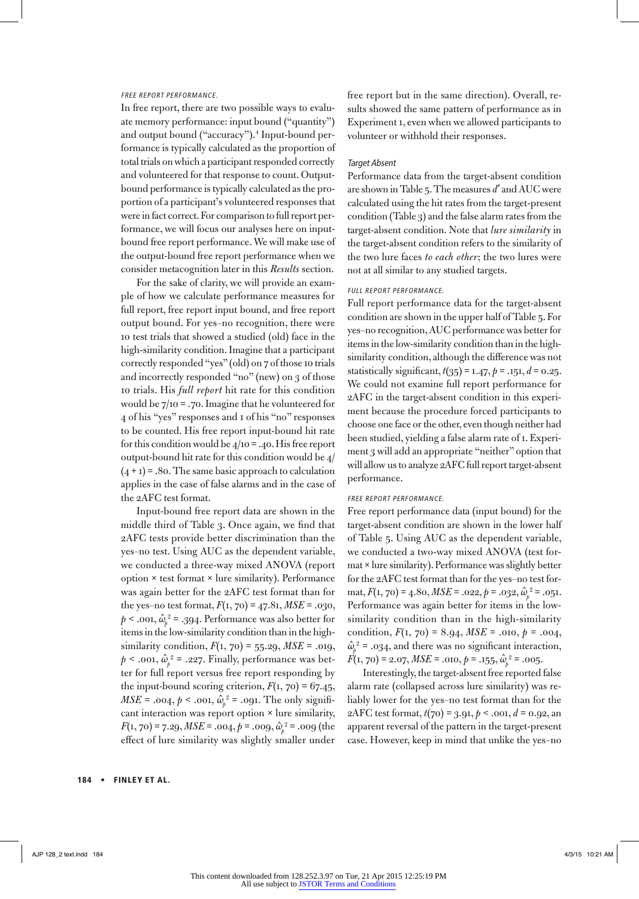## FREE REPORT PERFORMANCE.

In free report, there are two possible ways to evaluate memory performance: input bound ("quantity") and output bound ("accuracy").<sup>4</sup> Input-bound performance is typically calculated as the proportion of total trials on which a participant responded correctly and volunteered for that response to count. Outputbound performance is typically calculated as the proportion of a participant's volunteered responses that were in fact correct. For comparison to full report performance, we will focus our analyses here on inputbound free report performance. We will make use of the output-bound free report performance when we consider metacognition later in this *Results* section.

For the sake of clarity, we will provide an example of how we calculate performance measures for full report, free report input bound, and free report output bound. For yes–no recognition, there were 10 test trials that showed a studied (old) face in the high-similarity condition. Imagine that a participant correctly responded "yes" (old) on 7 of those 10 trials and incorrectly responded "no" (new) on 3 of those 10 trials. His *full report* hit rate for this condition would be 7/10 = .70. Imagine that he volunteered for 4 of his "yes" responses and 1 of his "no" responses to be counted. His free report input-bound hit rate for this condition would be  $4/10 = .40$ . His free report output-bound hit rate for this condition would be 4/  $(4 + 1) = .80$ . The same basic approach to calculation applies in the case of false alarms and in the case of the 2AFC test format.

Input-bound free report data are shown in the middle third of Table 3. Once again, we find that 2AFC tests provide better discrimination than the yes–no test. Using AUC as the dependent variable, we conducted a three-way mixed ANOVA (report option × test format × lure similarity). Performance was again better for the 2AFC test format than for the yes–no test format, *F*(1, 70) = 47.81, *MSE* = .030,  $p < .001$ ,  $\hat{\omega}_p^2 = .394$ . Performance was also better for items in the low-similarity condition than in the highsimilarity condition, *F*(1, 70) = 55.29, *MSE* = .019,  $p < .001, \hat{\omega}_p^2 = .227$ . Finally, performance was better for full report versus free report responding by the input-bound scoring criterion,  $F(1, 70) = 67.45$ , *MSE* = .004,  $p \leq .001$ ,  $\hat{\omega}_p^2 = .091$ . The only significant interaction was report option × lure similarity, *F*(1, 70) = 7.29, *MSE* = .004, *p* = .009,  $\hat{\omega}_p^2$  = .009 (the effect of lure similarity was slightly smaller under

184 · FINLEY ET AL.

free report but in the same direction). Overall, results showed the same pattern of performance as in Experiment 1, even when we allowed participants to volunteer or withhold their responses.

#### Target Absent

Performance data from the target-absent condition are shown in Table 5. The measures *d*′ and AUC were calculated using the hit rates from the target-present condition (Table 3) and the false alarm rates from the target-absent condition. Note that *lure similarity* in the target-absent condition refers to the similarity of the two lure faces *to each other*; the two lures were not at all similar to any studied targets.

#### FULL REPORT PERFORMANCE.

Full report performance data for the target-absent condition are shown in the upper half of Table 5. For yes–no recognition, AUC performance was better for items in the low-similarity condition than in the highsimilarity condition, although the difference was not statistically significant,  $t(35) = 1.47, p = .151, d = 0.25$ . We could not examine full report performance for 2AFC in the target-absent condition in this experiment because the procedure forced participants to choose one face or the other, even though neither had been studied, yielding a false alarm rate of 1. Experiment 3 will add an appropriate "neither" option that will allow us to analyze 2AFC full report target-absent performance.

#### FREE REPORT PERFORMANCE.

Free report performance data (input bound) for the target-absent condition are shown in the lower half of Table 5. Using AUC as the dependent variable, we conducted a two-way mixed ANOVA (test format × lure similarity). Performance was slightly better for the 2AFC test format than for the yes–no test format,  $F(1, 70) = 4.80, MSE = .022, p = .032, \hat{\omega}_{p}^{2} = .051.$ Performance was again better for items in the lowsimilarity condition than in the high-similarity condition,  $F(1, 70) = 8.94$ ,  $MSE = .010$ ,  $p = .004$ ,  $\hat{\omega}_p^2$  = .034, and there was no significant interaction,  $F(1, 70) = 2.07, MSE = .010, p = .155, \hat{\omega}_p^2 = .005.$ 

Interestingly, the target-absent free reported false alarm rate (collapsed across lure similarity) was reliably lower for the yes–no test format than for the 2AFC test format,  $t(70) = 3.91, p \le 0.001, d = 0.92,$  and apparent reversal of the pattern in the target-present case. However, keep in mind that unlike the yes–no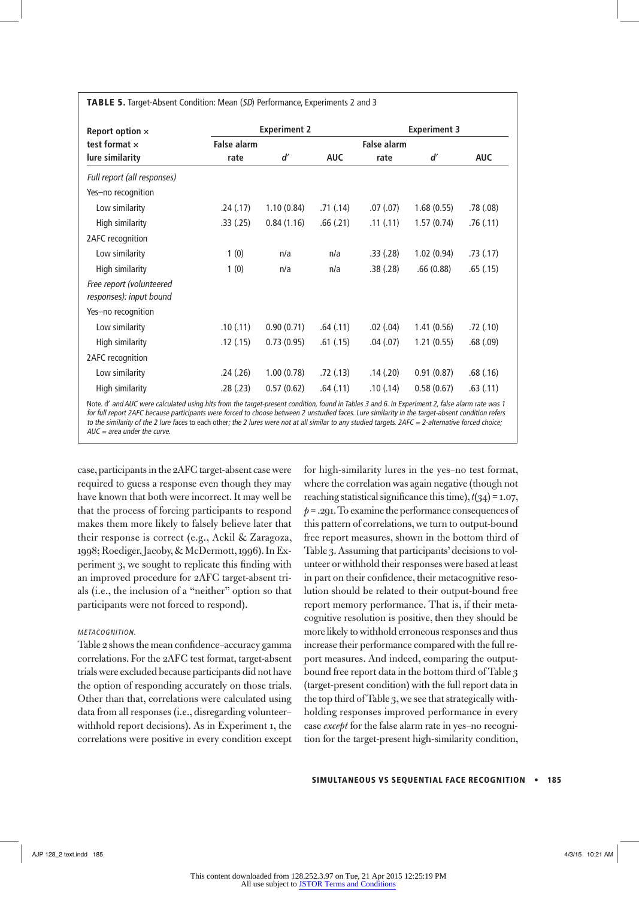| Report option $\times$                              |             | <b>Experiment 2</b> |            |                    | <b>Experiment 3</b> |            |
|-----------------------------------------------------|-------------|---------------------|------------|--------------------|---------------------|------------|
| test format $\times$                                | False alarm |                     |            | <b>False alarm</b> |                     |            |
| lure similarity                                     | rate        | ď                   | <b>AUC</b> | rate               | ď                   | <b>AUC</b> |
| Full report (all responses)                         |             |                     |            |                    |                     |            |
| Yes-no recognition                                  |             |                     |            |                    |                     |            |
| Low similarity                                      | .24(.17)    | 1.10(0.84)          | .71(.14)   | .07(.07)           | 1.68(0.55)          | .78(0.08)  |
| High similarity                                     | .33(.25)    | 0.84(1.16)          | .66(.21)   | .11(.11)           | 1.57(0.74)          | .76(.11)   |
| 2AFC recognition                                    |             |                     |            |                    |                     |            |
| Low similarity                                      | 1(0)        | n/a                 | n/a        | .33(.28)           | 1.02(0.94)          | .73(.17)   |
| High similarity                                     | 1(0)        | n/a                 | n/a        | .38(.28)           | .66(0.88)           | .65(.15)   |
| Free report (volunteered<br>responses): input bound |             |                     |            |                    |                     |            |
| Yes-no recognition                                  |             |                     |            |                    |                     |            |
| Low similarity                                      | .10(.11)    | 0.90(0.71)          | .64(.11)   | .02(.04)           | 1.41(0.56)          | .72(.10)   |
| High similarity                                     | .12(.15)    | 0.73(0.95)          | .61(.15)   | .04(.07)           | 1.21(0.55)          | .68(.09)   |
| 2AFC recognition                                    |             |                     |            |                    |                     |            |
| Low similarity                                      | .24(.26)    | 1.00(0.78)          | .72(.13)   | .14(.20)           | 0.91(0.87)          | .68(.16)   |
| <b>High similarity</b>                              | .28(.23)    | 0.57(0.62)          | .64(.11)   | .10(.14)           | 0.58(0.67)          | .63(.11)   |

for full report 2AFC because participants were forced to choose between 2 unstudied faces. Lure similarity in the target-absent condition refers to the similarity of the 2 lure faces to each other; the 2 lures were not at all similar to any studied targets. 2AFC = 2-alternative forced choice;  $AUC = area$  under the curve.

case, participants in the 2AFC target-absent case were required to guess a response even though they may have known that both were incorrect. It may well be that the process of forcing participants to respond makes them more likely to falsely believe later that their response is correct (e.g., Ackil & Zaragoza, 1998; Roediger, Jacoby, & McDermott, 1996). In Experiment 3, we sought to replicate this finding with an improved procedure for 2AFC target-absent trials (i.e., the inclusion of a "neither" option so that participants were not forced to respond).

## METACOGNITION.

Table 2 shows the mean confidence–accuracy gamma correlations. For the 2AFC test format, target-absent trials were excluded because participants did not have the option of responding accurately on those trials. Other than that, correlations were calculated using data from all responses (i.e., disregarding volunteer– withhold report decisions). As in Experiment 1, the correlations were positive in every condition except for high-similarity lures in the yes–no test format, where the correlation was again negative (though not reaching statistical significance this time),  $t(34) = 1.07$ , *p* = .291. To examine the performance consequences of this pattern of correlations, we turn to output-bound free report measures, shown in the bottom third of Table 3. Assuming that participants' decisions to volunteer or withhold their responses were based at least in part on their confidence, their metacognitive resolution should be related to their output-bound free report memory performance. That is, if their metacognitive resolution is positive, then they should be more likely to withhold erroneous responses and thus increase their performance compared with the full report measures. And indeed, comparing the outputbound free report data in the bottom third of Table 3 (target-present condition) with the full report data in the top third of Table 3, we see that strategically withholding responses improved performance in every case *except* for the false alarm rate in yes–no recognition for the target-present high-similarity condition,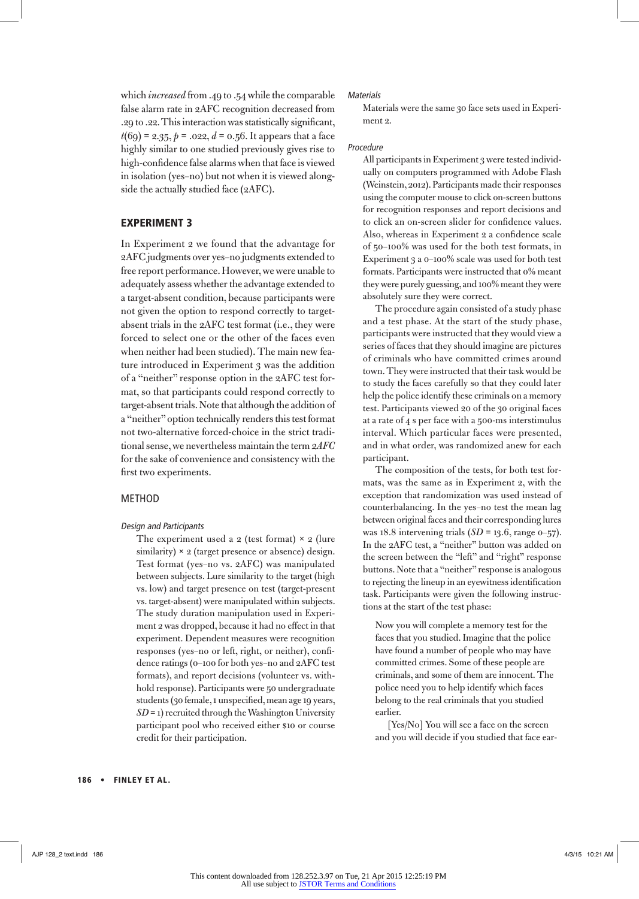which *increased* from .49 to .54 while the comparable false alarm rate in 2AFC recognition decreased from .29 to .22. This interaction was statistically significant,  $t(69) = 2.35, p = .022, d = 0.56$ . It appears that a face highly similar to one studied previously gives rise to high-confidence false alarms when that face is viewed in isolation (yes–no) but not when it is viewed alongside the actually studied face (2AFC).

# EXPERIMENT 3

In Experiment 2 we found that the advantage for 2AFC judgments over yes–no judgments extended to free report performance. However, we were unable to adequately assess whether the advantage extended to a target-absent condition, because participants were not given the option to respond correctly to targetabsent trials in the 2AFC test format (i.e., they were forced to select one or the other of the faces even when neither had been studied). The main new feature introduced in Experiment 3 was the addition of a "neither" response option in the 2AFC test format, so that participants could respond correctly to target-absent trials. Note that although the addition of a "neither" option technically renders this test format not two-alternative forced-choice in the strict traditional sense, we nevertheless maintain the term *2AFC* for the sake of convenience and consistency with the first two experiments.

### METHOD

#### Design and Participants

The experiment used a 2 (test format)  $\times$  2 (lure similarity)  $\times$  2 (target presence or absence) design. Test format (yes–no vs. 2AFC) was manipulated between subjects. Lure similarity to the target (high vs. low) and target presence on test (target-present vs. target-absent) were manipulated within subjects. The study duration manipulation used in Experiment 2 was dropped, because it had no effect in that experiment. Dependent measures were recognition responses (yes–no or left, right, or neither), confidence ratings (0–100 for both yes–no and 2AFC test formats), and report decisions (volunteer vs. withhold response). Participants were 50 undergraduate students (30 female, 1 unspecified, mean age 19 years, *SD* = 1) recruited through the Washington University participant pool who received either \$10 or course credit for their participation.

#### 186 · FINLEY ET AL.

**Materials** 

Materials were the same 30 face sets used in Experiment 2.

## Procedure

All participants in Experiment 3 were tested individually on computers programmed with Adobe Flash (Weinstein, 2012). Participants made their responses using the computer mouse to click on-screen buttons for recognition responses and report decisions and to click an on-screen slider for confidence values. Also, whereas in Experiment 2 a confidence scale of 50–100% was used for the both test formats, in Experiment 3 a 0–100% scale was used for both test formats. Participants were instructed that 0% meant they were purely guessing, and 100% meant they were absolutely sure they were correct.

The procedure again consisted of a study phase and a test phase. At the start of the study phase, participants were instructed that they would view a series of faces that they should imagine are pictures of criminals who have committed crimes around town. They were instructed that their task would be to study the faces carefully so that they could later help the police identify these criminals on a memory test. Participants viewed 20 of the 30 original faces at a rate of 4 s per face with a 500-ms interstimulus interval. Which particular faces were presented, and in what order, was randomized anew for each participant.

The composition of the tests, for both test formats, was the same as in Experiment 2, with the exception that randomization was used instead of counterbalancing. In the yes–no test the mean lag between original faces and their corresponding lures was 18.8 intervening trials (*SD* = 13.6, range 0–57). In the 2AFC test, a "neither" button was added on the screen between the "left" and "right" response buttons. Note that a "neither" response is analogous to rejecting the lineup in an eyewitness identification task. Participants were given the following instructions at the start of the test phase:

Now you will complete a memory test for the faces that you studied. Imagine that the police have found a number of people who may have committed crimes. Some of these people are criminals, and some of them are innocent. The police need you to help identify which faces belong to the real criminals that you studied earlier.

[Yes/No] You will see a face on the screen and you will decide if you studied that face ear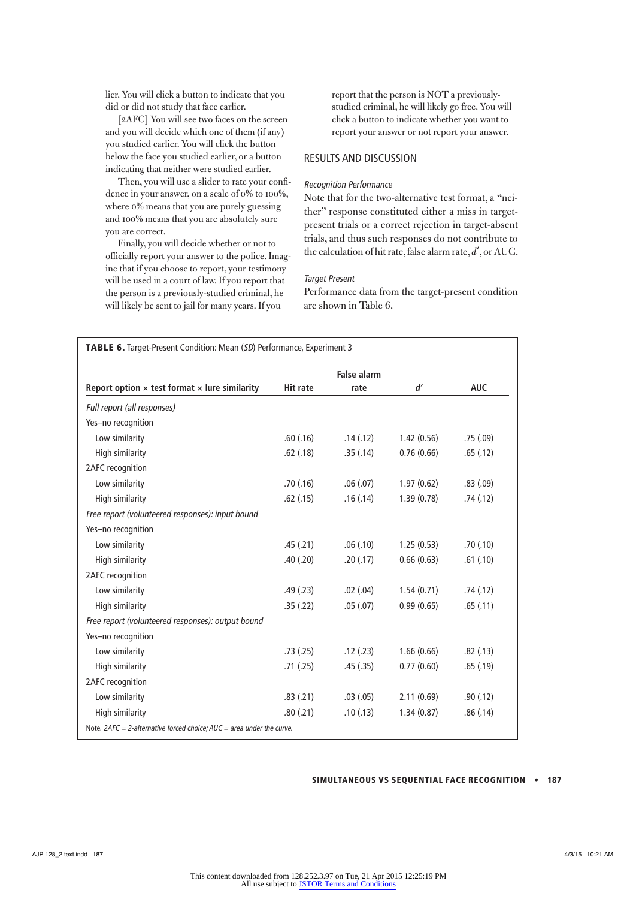lier. You will click a button to indicate that you did or did not study that face earlier.

[2AFC] You will see two faces on the screen and you will decide which one of them (if any) you studied earlier. You will click the button below the face you studied earlier, or a button indicating that neither were studied earlier.

Then, you will use a slider to rate your confidence in your answer, on a scale of 0% to 100%, where 0% means that you are purely guessing and 100% means that you are absolutely sure you are correct.

Finally, you will decide whether or not to officially report your answer to the police. Imagine that if you choose to report, your testimony will be used in a court of law. If you report that the person is a previously-studied criminal, he will likely be sent to jail for many years. If you

report that the person is NOT a previouslystudied criminal, he will likely go free. You will click a button to indicate whether you want to report your answer or not report your answer.

# RESULTS AND DISCUSSION

#### Recognition Performance

Note that for the two-alternative test format, a "neither" response constituted either a miss in targetpresent trials or a correct rejection in target-absent trials, and thus such responses do not contribute to the calculation of hit rate, false alarm rate, *d*′, or AUC.

# Target Present

Performance data from the target-present condition are shown in Table 6.

| TABLE 6. Target-Present Condition: Mean (SD) Performance, Experiment 3  |                 |               |            |            |  |  |
|-------------------------------------------------------------------------|-----------------|---------------|------------|------------|--|--|
|                                                                         | False alarm     |               |            |            |  |  |
| Report option $\times$ test format $\times$ lure similarity             | <b>Hit rate</b> | rate          | ď          | <b>AUC</b> |  |  |
| Full report (all responses)                                             |                 |               |            |            |  |  |
| Yes-no recognition                                                      |                 |               |            |            |  |  |
| Low similarity                                                          | .60(.16)        | .14(.12)      | 1.42(0.56) | .75(.09)   |  |  |
| <b>High similarity</b>                                                  | .62(.18)        | .35(.14)      | 0.76(0.66) | .65(.12)   |  |  |
| 2AFC recognition                                                        |                 |               |            |            |  |  |
| Low similarity                                                          | .70(.16)        | .06(.07)      | 1.97(0.62) | .83(.09)   |  |  |
| High similarity                                                         | .62(.15)        | .16(.14)      | 1.39(0.78) | .74(.12)   |  |  |
| Free report (volunteered responses): input bound                        |                 |               |            |            |  |  |
| Yes-no recognition                                                      |                 |               |            |            |  |  |
| Low similarity                                                          | .45(.21)        | .06(.10)      | 1.25(0.53) | .70(.10)   |  |  |
| High similarity                                                         | .40(.20)        | .20(.17)      | 0.66(0.63) | .61(.10)   |  |  |
| 2AFC recognition                                                        |                 |               |            |            |  |  |
| Low similarity                                                          | .49(0.23)       | $.02$ $(.04)$ | 1.54(0.71) | .74(.12)   |  |  |
| <b>High similarity</b>                                                  | .35(.22)        | .05(.07)      | 0.99(0.65) | .65(.11)   |  |  |
| Free report (volunteered responses): output bound                       |                 |               |            |            |  |  |
| Yes-no recognition                                                      |                 |               |            |            |  |  |
| Low similarity                                                          | .73(.25)        | .12(.23)      | 1.66(0.66) | .82(.13)   |  |  |
| High similarity                                                         | .71(.25)        | .45(.35)      | 0.77(0.60) | .65(.19)   |  |  |
| 2AFC recognition                                                        |                 |               |            |            |  |  |
| Low similarity                                                          | .83(.21)        | .03(.05)      | 2.11(0.69) | .90(0.12)  |  |  |
| High similarity                                                         | .80(.21)        | .10(.13)      | 1.34(0.87) | .86(.14)   |  |  |
| Note. 2AFC = 2-alternative forced choice; $AUC = area$ under the curve. |                 |               |            |            |  |  |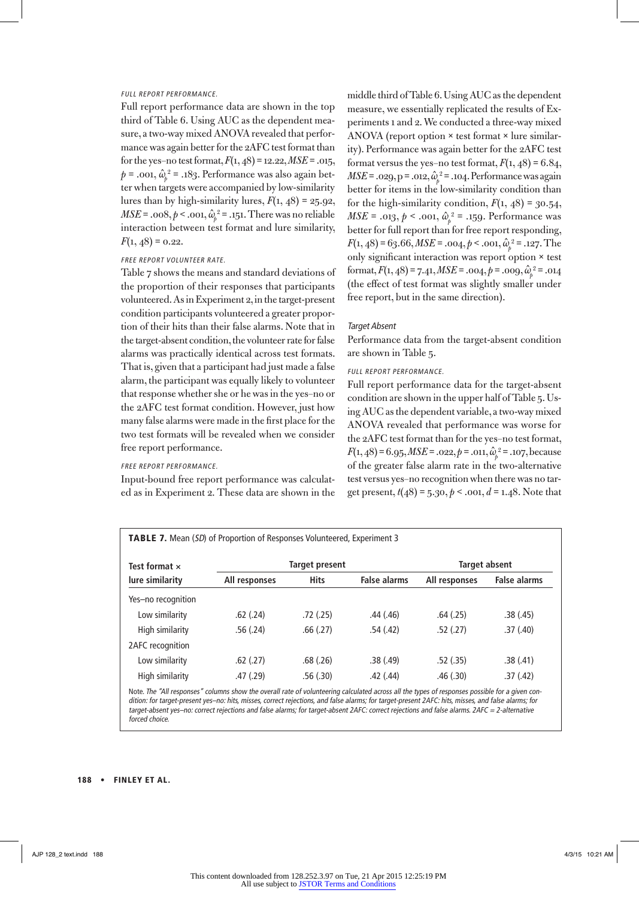# FULL REPORT PERFORMANCE.

Full report performance data are shown in the top third of Table 6. Using AUC as the dependent measure, a two-way mixed ANOVA revealed that performance was again better for the 2AFC test format than for the yes–no test format,  $F(1, 48) = 12.22, MSE = .015$ ,  $p = .001, \hat{\omega}_p^2 = .183$ . Performance was also again better when targets were accompanied by low-similarity lures than by high-similarity lures,  $F(1, 48) = 25.92$ , *MSE* = .008,  $p < .001$ ,  $\hat{\omega}_p^2 = .151$ . There was no reliable interaction between test format and lure similarity,  $F(1, 48) = 0.22$ .

### FREE REPORT VOLUNTEER RATE.

Table 7 shows the means and standard deviations of the proportion of their responses that participants volunteered. As in Experiment 2, in the target-present condition participants volunteered a greater proportion of their hits than their false alarms. Note that in the target-absent condition, the volunteer rate for false alarms was practically identical across test formats. That is, given that a participant had just made a false alarm, the participant was equally likely to volunteer that response whether she or he was in the yes–no or the 2AFC test format condition. However, just how many false alarms were made in the first place for the two test formats will be revealed when we consider free report performance.

#### FREE REPORT PERFORMANCE.

Input-bound free report performance was calculated as in Experiment 2. These data are shown in the middle third of Table 6. Using AUC as the dependent measure, we essentially replicated the results of Experiments 1 and 2. We conducted a three-way mixed ANOVA (report option × test format × lure similarity). Performance was again better for the 2AFC test format versus the yes–no test format,  $F(1, 48) = 6.84$ , *MSE* = .029, p = .012,  $\hat{\omega}_p^2$  = .104. Performance was again better for items in the low-similarity condition than for the high-similarity condition,  $F(1, 48) = 30.54$ , *MSE* = .013, *p* < .001,  $\hat{\omega}_p^2$  = .159. Performance was better for full report than for free report responding, *F*(1, 48) = 63.66, *MSE* = .004, *p* < .001,  $\hat{\omega}_p^2$  = .127. The only significant interaction was report option × test format,  $F(1, 48) = 7.41, MSE = .004, p = .009, \hat{\omega}_p^2 = .014$ (the effect of test format was slightly smaller under free report, but in the same direction).

#### Target Absent

Performance data from the target-absent condition are shown in Table 5.

#### FULL REPORT PERFORMANCE.

Full report performance data for the target-absent condition are shown in the upper half of Table 5. Using AUC as the dependent variable, a two-way mixed ANOVA revealed that performance was worse for the 2AFC test format than for the yes–no test format, *F*(1, 48) = 6.95, *MSE* = .022, *p* = .011,  $\hat{\omega}_p^2$  = .107, because of the greater false alarm rate in the two-alternative test versus yes–no recognition when there was no target present, *t*(48) = 5.30, *p* < .001, *d* = 1.48. Note that

| <b>TABLE 7.</b> Mean (SD) of Proportion of Responses Volunteered, Experiment 3 |               |                |                     |               |              |  |  |  |
|--------------------------------------------------------------------------------|---------------|----------------|---------------------|---------------|--------------|--|--|--|
| Test format $\times$                                                           |               | Target present | Target absent       |               |              |  |  |  |
| lure similarity                                                                | All responses | <b>Hits</b>    | <b>False alarms</b> | All responses | False alarms |  |  |  |
| Yes-no recognition                                                             |               |                |                     |               |              |  |  |  |
| Low similarity                                                                 | .62(.24)      | .72(.25)       | .44(.46)            | .64(.25)      | .38(.45)     |  |  |  |
| High similarity                                                                | .56(.24)      | .66(.27)       | .54(.42)            | .52(.27)      | .37(.40)     |  |  |  |
| 2AFC recognition                                                               |               |                |                     |               |              |  |  |  |
| Low similarity                                                                 | .62(.27)      | .68(.26)       | .38(.49)            | .52 (.35)     | .38(.41)     |  |  |  |
| High similarity                                                                | .47(.29)      | .56(.30)       | .42(.44)            | .46 (.30)     | .37(.42)     |  |  |  |
|                                                                                |               |                |                     |               |              |  |  |  |

Note. The "All responses" columns show the overall rate of volunteering calculated across all the types of responses possible for a given condition: for target-present yes–no: hits, misses, correct rejections, and false alarms; for target-present 2AFC: hits, misses, and false alarms; for target-absent yes–no: correct rejections and false alarms; for target-absent 2AFC: correct rejections and false alarms. 2AFC = 2-alternative forced choice.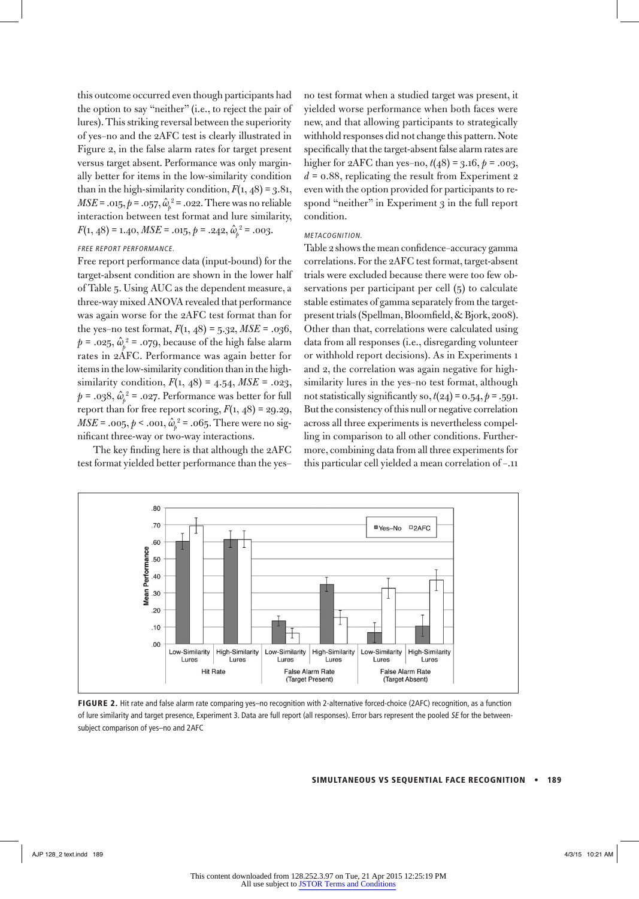this outcome occurred even though participants had the option to say "neither" (i.e., to reject the pair of lures). This striking reversal between the superiority of yes–no and the 2AFC test is clearly illustrated in Figure 2, in the false alarm rates for target present versus target absent. Performance was only marginally better for items in the low-similarity condition than in the high-similarity condition,  $F(1, 48) = 3.81$ , *MSE* = .015,  $p = .057$ ,  $\hat{\omega}_p^2 = .022$ . There was no reliable interaction between test format and lure similarity, *F*(1, 48) = 1.40, *MSE* = .015,  $p = .242$ ,  $\hat{\omega}_p^2 = .003$ .

# FREE REPORT PERFORMANCE.

Free report performance data (input-bound) for the target-absent condition are shown in the lower half of Table 5. Using AUC as the dependent measure, a three-way mixed ANOVA revealed that performance was again worse for the 2AFC test format than for the yes–no test format,  $F(1, 48) = 5.32, MSE = .036$ ,  $p = .025, \hat{\omega}_p^2 = .079$ , because of the high false alarm rates in 2AFC. Performance was again better for items in the low-similarity condition than in the highsimilarity condition,  $F(1, 48) = 4.54$ ,  $MSE = .023$ ,  $p = .038$ ,  $\hat{\omega}_p^2 = .027$ . Performance was better for full report than for free report scoring,  $F(1, 48) = 29.29$ , *MSE* = .005,  $p < .001$ ,  $\hat{\omega}_p^2 = .065$ . There were no significant three-way or two-way interactions.

The key finding here is that although the 2AFC test format yielded better performance than the yes–

no test format when a studied target was present, it yielded worse performance when both faces were new, and that allowing participants to strategically withhold responses did not change this pattern. Note specifically that the target-absent false alarm rates are higher for 2AFC than yes–no,  $t(48) = 3.16, p = .003$ ,  $d = 0.88$ , replicating the result from Experiment 2 even with the option provided for participants to respond "neither" in Experiment 3 in the full report condition.

# METACOGNITION.

Table 2 shows the mean confidence–accuracy gamma correlations. For the 2AFC test format, target-absent trials were excluded because there were too few observations per participant per cell (5) to calculate stable estimates of gamma separately from the targetpresent trials (Spellman, Bloomfield, & Bjork, 2008). Other than that, correlations were calculated using data from all responses (i.e., disregarding volunteer or withhold report decisions). As in Experiments 1 and 2, the correlation was again negative for highsimilarity lures in the yes–no test format, although not statistically significantly so,  $t(24) = 0.54$ ,  $p = .591$ . But the consistency of this null or negative correlation across all three experiments is nevertheless compelling in comparison to all other conditions. Furthermore, combining data from all three experiments for this particular cell yielded a mean correlation of –.11



FIGURE 2. Hit rate and false alarm rate comparing yes-no recognition with 2-alternative forced-choice (2AFC) recognition, as a function of lure similarity and target presence, Experiment 3. Data are full report (all responses). Error bars represent the pooled SE for the betweensubject comparison of yes–no and 2AFC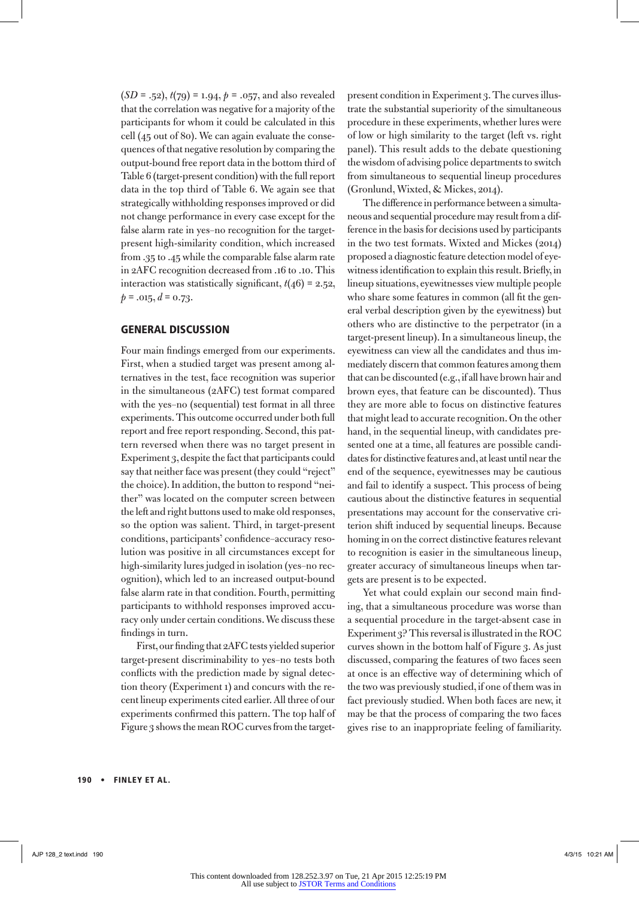$(SD = .52), t(79) = 1.94, p = .057,$  and also revealed that the correlation was negative for a majority of the participants for whom it could be calculated in this cell (45 out of 80). We can again evaluate the consequences of that negative resolution by comparing the output-bound free report data in the bottom third of Table 6 (target-present condition) with the full report data in the top third of Table 6. We again see that strategically withholding responses improved or did not change performance in every case except for the false alarm rate in yes–no recognition for the targetpresent high-similarity condition, which increased from .35 to .45 while the comparable false alarm rate in 2AFC recognition decreased from .16 to .10. This interaction was statistically significant,  $t(46) = 2.52$ ,  $p = .015, d = 0.73$ .

# GENERAL DISCUSSION

Four main findings emerged from our experiments. First, when a studied target was present among alternatives in the test, face recognition was superior in the simultaneous (2AFC) test format compared with the yes–no (sequential) test format in all three experiments. This outcome occurred under both full report and free report responding. Second, this pattern reversed when there was no target present in Experiment 3, despite the fact that participants could say that neither face was present (they could "reject" the choice). In addition, the button to respond "neither" was located on the computer screen between the left and right buttons used to make old responses, so the option was salient. Third, in target-present conditions, participants' confidence–accuracy resolution was positive in all circumstances except for high-similarity lures judged in isolation (yes–no recognition), which led to an increased output-bound false alarm rate in that condition. Fourth, permitting participants to withhold responses improved accuracy only under certain conditions. We discuss these findings in turn.

First, our finding that 2AFC tests yielded superior target-present discriminability to yes–no tests both conflicts with the prediction made by signal detection theory (Experiment 1) and concurs with the recent lineup experiments cited earlier. All three of our experiments confirmed this pattern. The top half of Figure 3 shows the mean ROC curves from the targetpresent condition in Experiment 3. The curves illustrate the substantial superiority of the simultaneous procedure in these experiments, whether lures were of low or high similarity to the target (left vs. right panel). This result adds to the debate questioning the wisdom of advising police departments to switch from simultaneous to sequential lineup procedures (Gronlund, Wixted, & Mickes, 2014).

The difference in performance between a simultaneous and sequential procedure may result from a difference in the basis for decisions used by participants in the two test formats. Wixted and Mickes (2014) proposed a diagnostic feature detection model of eyewitness identification to explain this result. Briefly, in lineup situations, eyewitnesses view multiple people who share some features in common (all fit the general verbal description given by the eyewitness) but others who are distinctive to the perpetrator (in a target-present lineup). In a simultaneous lineup, the eyewitness can view all the candidates and thus immediately discern that common features among them that can be discounted (e.g., if all have brown hair and brown eyes, that feature can be discounted). Thus they are more able to focus on distinctive features that might lead to accurate recognition. On the other hand, in the sequential lineup, with candidates presented one at a time, all features are possible candidates for distinctive features and, at least until near the end of the sequence, eyewitnesses may be cautious and fail to identify a suspect. This process of being cautious about the distinctive features in sequential presentations may account for the conservative criterion shift induced by sequential lineups. Because homing in on the correct distinctive features relevant to recognition is easier in the simultaneous lineup, greater accuracy of simultaneous lineups when targets are present is to be expected.

Yet what could explain our second main finding, that a simultaneous procedure was worse than a sequential procedure in the target-absent case in Experiment 3? This reversal is illustrated in the ROC curves shown in the bottom half of Figure 3. As just discussed, comparing the features of two faces seen at once is an effective way of determining which of the two was previously studied, if one of them was in fact previously studied. When both faces are new, it may be that the process of comparing the two faces gives rise to an inappropriate feeling of familiarity.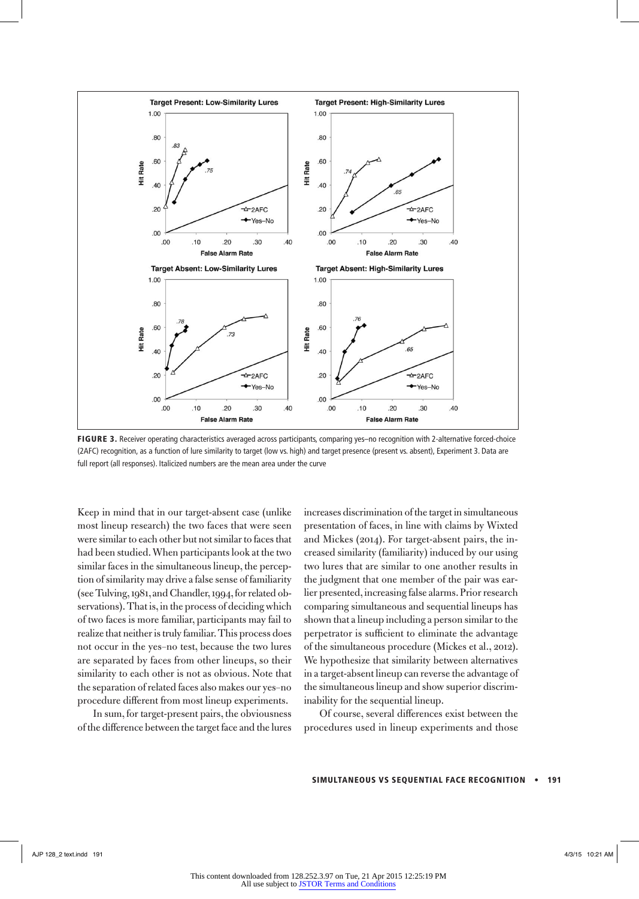

FIGURE 3. Receiver operating characteristics averaged across participants, comparing yes-no recognition with 2-alternative forced-choice (2AFC) recognition, as a function of lure similarity to target (low vs. high) and target presence (present vs. absent), Experiment 3. Data are full report (all responses). Italicized numbers are the mean area under the curve

Keep in mind that in our target-absent case (unlike most lineup research) the two faces that were seen were similar to each other but not similar to faces that had been studied. When participants look at the two similar faces in the simultaneous lineup, the perception of similarity may drive a false sense of familiarity (see Tulving, 1981, and Chandler, 1994, for related observations). That is, in the process of deciding which of two faces is more familiar, participants may fail to realize that neither is truly familiar. This process does not occur in the yes–no test, because the two lures are separated by faces from other lineups, so their similarity to each other is not as obvious. Note that the separation of related faces also makes our yes–no procedure different from most lineup experiments.

In sum, for target-present pairs, the obviousness of the difference between the target face and the lures increases discrimination of the target in simultaneous presentation of faces, in line with claims by Wixted and Mickes (2014). For target-absent pairs, the increased similarity (familiarity) induced by our using two lures that are similar to one another results in the judgment that one member of the pair was earlier presented, increasing false alarms. Prior research comparing simultaneous and sequential lineups has shown that a lineup including a person similar to the perpetrator is sufficient to eliminate the advantage of the simultaneous procedure (Mickes et al., 2012). We hypothesize that similarity between alternatives in a target-absent lineup can reverse the advantage of the simultaneous lineup and show superior discriminability for the sequential lineup.

Of course, several differences exist between the procedures used in lineup experiments and those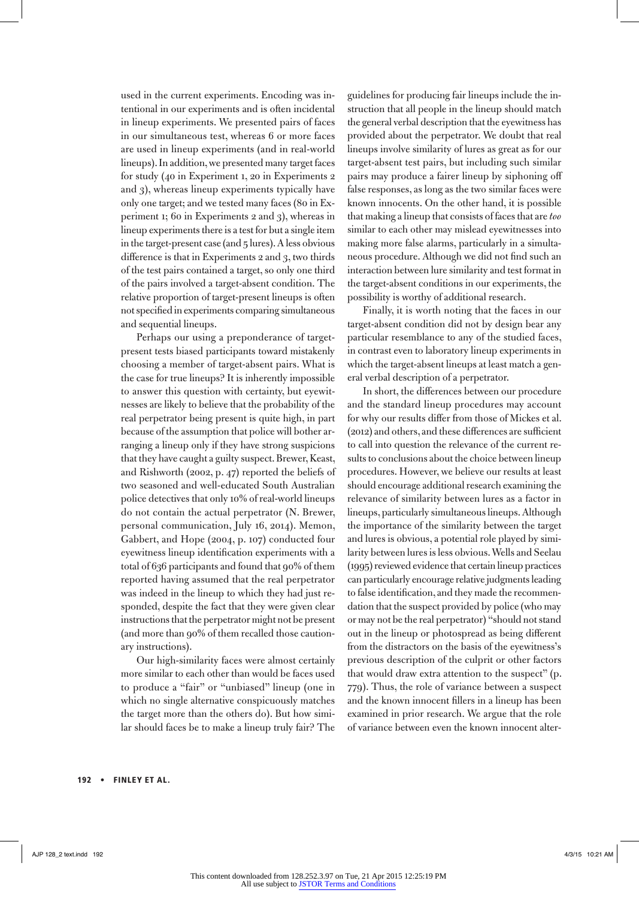used in the current experiments. Encoding was intentional in our experiments and is often incidental in lineup experiments. We presented pairs of faces in our simultaneous test, whereas 6 or more faces are used in lineup experiments (and in real-world lineups). In addition, we presented many target faces for study (40 in Experiment 1, 20 in Experiments 2 and 3), whereas lineup experiments typically have only one target; and we tested many faces (80 in Experiment 1; 60 in Experiments 2 and 3), whereas in lineup experiments there is a test for but a single item in the target-present case (and 5 lures). A less obvious difference is that in Experiments 2 and 3, two thirds of the test pairs contained a target, so only one third of the pairs involved a target-absent condition. The relative proportion of target-present lineups is often not specified in experiments comparing simultaneous and sequential lineups.

Perhaps our using a preponderance of targetpresent tests biased participants toward mistakenly choosing a member of target-absent pairs. What is the case for true lineups? It is inherently impossible to answer this question with certainty, but eyewitnesses are likely to believe that the probability of the real perpetrator being present is quite high, in part because of the assumption that police will bother arranging a lineup only if they have strong suspicions that they have caught a guilty suspect. Brewer, Keast, and Rishworth (2002, p. 47) reported the beliefs of two seasoned and well-educated South Australian police detectives that only 10% of real-world lineups do not contain the actual perpetrator (N. Brewer, personal communication, July 16, 2014). Memon, Gabbert, and Hope (2004, p. 107) conducted four eyewitness lineup identification experiments with a total of 636 participants and found that 90% of them reported having assumed that the real perpetrator was indeed in the lineup to which they had just responded, despite the fact that they were given clear instructions that the perpetrator might not be present (and more than 90% of them recalled those cautionary instructions).

Our high-similarity faces were almost certainly more similar to each other than would be faces used to produce a "fair" or "unbiased" lineup (one in which no single alternative conspicuously matches the target more than the others do). But how similar should faces be to make a lineup truly fair? The

192 · FINLEY ET AL.

guidelines for producing fair lineups include the instruction that all people in the lineup should match the general verbal description that the eyewitness has provided about the perpetrator. We doubt that real lineups involve similarity of lures as great as for our target-absent test pairs, but including such similar pairs may produce a fairer lineup by siphoning off false responses, as long as the two similar faces were known innocents. On the other hand, it is possible that making a lineup that consists of faces that are *too* similar to each other may mislead eyewitnesses into making more false alarms, particularly in a simultaneous procedure. Although we did not find such an interaction between lure similarity and test format in the target-absent conditions in our experiments, the possibility is worthy of additional research.

Finally, it is worth noting that the faces in our target-absent condition did not by design bear any particular resemblance to any of the studied faces, in contrast even to laboratory lineup experiments in which the target-absent lineups at least match a general verbal description of a perpetrator.

In short, the differences between our procedure and the standard lineup procedures may account for why our results differ from those of Mickes et al. (2012) and others, and these differences are sufficient to call into question the relevance of the current results to conclusions about the choice between lineup procedures. However, we believe our results at least should encourage additional research examining the relevance of similarity between lures as a factor in lineups, particularly simultaneous lineups. Although the importance of the similarity between the target and lures is obvious, a potential role played by similarity between lures is less obvious. Wells and Seelau (1995) reviewed evidence that certain lineup practices can particularly encourage relative judgments leading to false identification, and they made the recommendation that the suspect provided by police (who may or may not be the real perpetrator) "should not stand out in the lineup or photospread as being different from the distractors on the basis of the eyewitness's previous description of the culprit or other factors that would draw extra attention to the suspect" (p. 779). Thus, the role of variance between a suspect and the known innocent fillers in a lineup has been examined in prior research. We argue that the role of variance between even the known innocent alter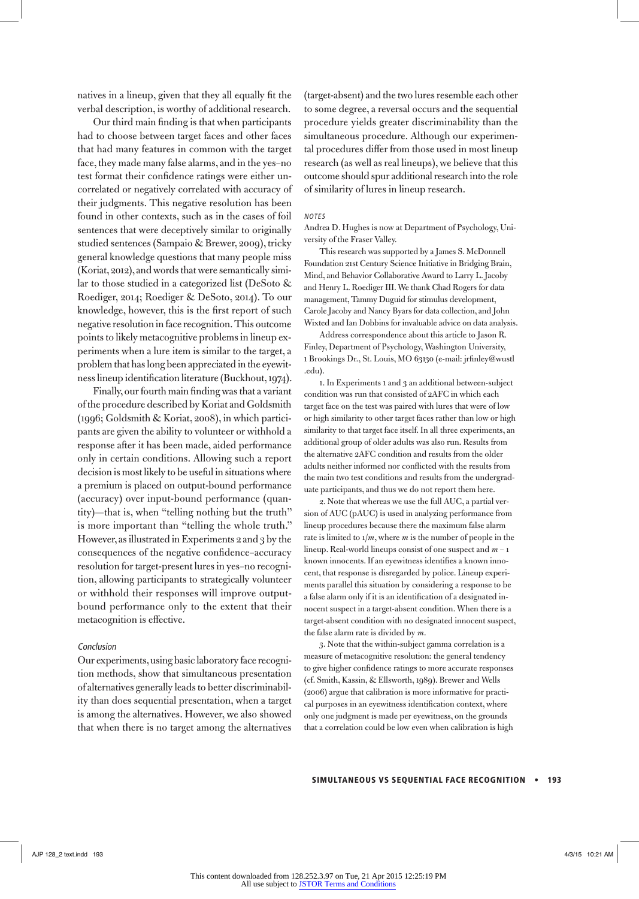natives in a lineup, given that they all equally fit the verbal description, is worthy of additional research.

Our third main finding is that when participants had to choose between target faces and other faces that had many features in common with the target face, they made many false alarms, and in the yes–no test format their confidence ratings were either uncorrelated or negatively correlated with accuracy of their judgments. This negative resolution has been found in other contexts, such as in the cases of foil sentences that were deceptively similar to originally studied sentences (Sampaio & Brewer, 2009), tricky general knowledge questions that many people miss (Koriat, 2012), and words that were semantically similar to those studied in a categorized list (DeSoto & Roediger, 2014; Roediger & DeSoto, 2014). To our knowledge, however, this is the first report of such negative resolution in face recognition. This outcome points to likely metacognitive problems in lineup experiments when a lure item is similar to the target, a problem that has long been appreciated in the eyewitness lineup identification literature (Buckhout, 1974).

Finally, our fourth main finding was that a variant of the procedure described by Koriat and Goldsmith (1996; Goldsmith & Koriat, 2008), in which participants are given the ability to volunteer or withhold a response after it has been made, aided performance only in certain conditions. Allowing such a report decision is most likely to be useful in situations where a premium is placed on output-bound performance (accuracy) over input-bound performance (quantity)—that is, when "telling nothing but the truth" is more important than "telling the whole truth." However, as illustrated in Experiments 2 and 3 by the consequences of the negative confidence–accuracy resolution for target-present lures in yes–no recognition, allowing participants to strategically volunteer or withhold their responses will improve outputbound performance only to the extent that their metacognition is effective.

## Conclusion

Our experiments, using basic laboratory face recognition methods, show that simultaneous presentation of alternatives generally leads to better discriminability than does sequential presentation, when a target is among the alternatives. However, we also showed that when there is no target among the alternatives

(target-absent) and the two lures resemble each other to some degree, a reversal occurs and the sequential procedure yields greater discriminability than the simultaneous procedure. Although our experimental procedures differ from those used in most lineup research (as well as real lineups), we believe that this outcome should spur additional research into the role of similarity of lures in lineup research.

#### **NOTES**

Andrea D. Hughes is now at Department of Psychology, University of the Fraser Valley.

This research was supported by a James S. McDonnell Foundation 21st Century Science Initiative in Bridging Brain, Mind, and Behavior Collaborative Award to Larry L. Jacoby and Henry L. Roediger III. We thank Chad Rogers for data management, Tammy Duguid for stimulus development, Carole Jacoby and Nancy Byars for data collection, and John Wixted and Ian Dobbins for invaluable advice on data analysis.

Address correspondence about this article to Jason R. Finley, Department of Psychology, Washington University, 1 Brookings Dr., St. Louis, MO 63130 (e-mail: jrfinley@wustl .edu).

1. In Experiments 1 and 3 an additional between-subject condition was run that consisted of 2AFC in which each target face on the test was paired with lures that were of low or high similarity to other target faces rather than low or high similarity to that target face itself. In all three experiments, an additional group of older adults was also run. Results from the alternative 2AFC condition and results from the older adults neither informed nor conflicted with the results from the main two test conditions and results from the undergraduate participants, and thus we do not report them here.

2.Note that whereas we use the full AUC, a partial version of AUC (pAUC) is used in analyzing performance from lineup procedures because there the maximum false alarm rate is limited to 1/*m*, where *m* is the number of people in the lineup. Real-world lineups consist of one suspect and *m* – 1 known innocents. If an eyewitness identifies a known innocent, that response is disregarded by police. Lineup experiments parallel this situation by considering a response to be a false alarm only if it is an identification of a designated innocent suspect in a target-absent condition. When there is a target-absent condition with no designated innocent suspect, the false alarm rate is divided by *m*.

3.Note that the within-subject gamma correlation is a measure of metacognitive resolution: the general tendency to give higher confidence ratings to more accurate responses (cf. Smith, Kassin, & Ellsworth, 1989). Brewer and Wells (2006) argue that calibration is more informative for practical purposes in an eyewitness identification context, where only one judgment is made per eyewitness, on the grounds that a correlation could be low even when calibration is high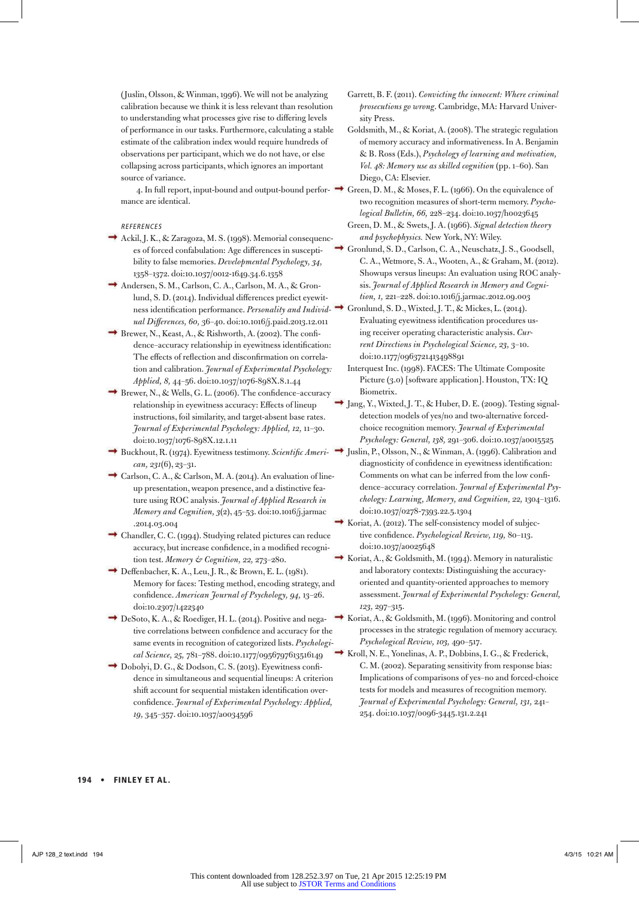(Juslin, Olsson, & Winman, 1996). We will not be analyzing calibration because we think it is less relevant than resolution to understanding what processes give rise to differing levels of performance in our tasks. Furthermore, calculating a stable estimate of the calibration index would require hundreds of observations per participant, which we do not have, or else collapsing across participants, which ignores an important source of variance.

mance are identical.

# References

- Ackil, J. K., & Zaragoza, M. S. (1998). Memorial consequences of forced confabulation: Age differences in susceptibility to false memories. *Developmental Psychology, 34,* 1358–1372. doi:10.1037/0012-1649.34.6.1358
- Andersen, S. M., Carlson, C. A., Carlson, M. A., & Gronlund, S. D. (2014). Individual differences predict eyewitness identification performance. *Personality and Individ-*Gronlund, S. D., Wixted, J. T., & Mickes, L. (2014). *ual Differences, 60,* 36–40. doi:10.1016/j.paid.2013.12.011
- Brewer, N., Keast, A., & Rishworth, A. (2002). The confidence–accuracy relationship in eyewitness identification: The effects of reflection and disconfirmation on correlation and calibration. *Journal of Experimental Psychology: Applied, 8,* 44–56. doi:10.1037/1076-898X.8.1.44
- $\rightarrow$  Brewer, N., & Wells, G. L. (2006). The confidence-accuracy relationship in eyewitness accuracy: Effects of lineup instructions, foil similarity, and target-absent base rates. *Journal of Experimental Psychology: Applied, 12,* 11–30. doi:10.1037/1076-898X.12.1.11
- Buckhout, R. (1974). Eyewitness testimony. *Scientific American, 231*(6), 23–31.
- Carlson, C. A., & Carlson, M. A. (2014). An evaluation of lineup presentation, weapon presence, and a distinctive feature using ROC analysis. *Journal of Applied Research in Memory and Cognition, 3*(2), 45–53. doi:10.1016/j.jarmac .2014.03.004
- Chandler, C. C. (1994). Studying related pictures can reduce accuracy, but increase confidence, in a modified recognition test. *Memory & Cognition, 22,* 273–280.
- $\rightarrow$  Deffenbacher, K. A., Leu, J. R., & Brown, E. L. (1981). Memory for faces: Testing method, encoding strategy, and confidence. *American Journal of Psychology, 94,* 13–26. doi:10.2307/1422340
- DeSoto, K. A., & Roediger, H. L. (2014). Positive and negative correlations between confidence and accuracy for the same events in recognition of categorized lists. *Psychological Science, 25,* 781–788. doi:10.1177/0956797613516149
- Dobolyi, D. G., & Dodson, C. S. (2013). Eyewitness confidence in simultaneous and sequential lineups: A criterion shift account for sequential mistaken identification overconfidence. *Journal of Experimental Psychology: Applied, 19,* 345–357. doi:10.1037/a0034596
- Garrett, B. F. (2011). *Convicting the innocent: Where criminal prosecutions go wrong*. Cambridge, MA: Harvard University Press.
- Goldsmith, M., & Koriat, A. (2008). The strategic regulation of memory accuracy and informativeness. In A. Benjamin & B. Ross (Eds.), *Psychology of learning and motivation, Vol. 48: Memory use as skilled cognition* (pp. 1–60). San Diego, CA: Elsevier.
- 4. In full report, input-bound and output-bound perfor- $\rightarrow$  Green, D. M., & Moses, F. L. (1966). On the equivalence of two recognition measures of short-term memory. *Psychological Bulletin, 66,* 228–234. doi:10.1037/h0023645
	- Green, D. M., & Swets, J. A. (1966). *Signal detection theory and psychophysics.* New York, NY: Wiley.
	- Gronlund, S. D., Carlson, C. A., Neuschatz, J. S., Goodsell, C. A., Wetmore, S. A., Wooten, A., & Graham, M. (2012). Showups versus lineups: An evaluation using ROC analysis. *Journal of Applied Research in Memory and Cognition, 1,* 221–228. doi:10.1016/j.jarmac.2012.09.003
	- Evaluating eyewitness identification procedures using receiver operating characteristic analysis. *Current Directions in Psychological Science, 23,* 3–10. doi:10.1177/0963721413498891
	- Interquest Inc. (1998). FACES: The Ultimate Composite Picture (3.0) [software application]. Houston, TX: IQ Biometrix.
	- $\rightarrow$  Jang, Y., Wixted, J. T., & Huber, D. E. (2009). Testing signaldetection models of yes/no and two-alternative forcedchoice recognition memory. *Journal of Experimental Psychology: General, 138,* 291–306. doi:10.1037/a0015525
	- $\rightarrow$  Juslin, P., Olsson, N., & Winman, A. (1996). Calibration and diagnosticity of confidence in eyewitness identification: Comments on what can be inferred from the low confidence–accuracy correlation. *Journal of Experimental Psychology: Learning, Memory, and Cognition, 22,* 1304–1316. doi:10.1037/0278-7393.22.5.1304
	- Koriat, A. (2012). The self-consistency model of subjective confidence. *Psychological Review, 119,* 80–113. doi:10.1037/a0025648
	- Koriat, A., & Goldsmith, M. (1994). Memory in naturalistic and laboratory contexts: Distinguishing the accuracyoriented and quantity-oriented approaches to memory assessment. *Journal of Experimental Psychology: General, 123,* 297–315.
	- Koriat, A., & Goldsmith, M. (1996). Monitoring and control processes in the strategic regulation of memory accuracy. *Psychological Review, 103,* 490–517.
	- Kroll, N. E., Yonelinas, A. P., Dobbins, I. G., & Frederick, C. M. (2002). Separating sensitivity from response bias: Implications of comparisons of yes–no and forced-choice tests for models and measures of recognition memory. *Journal of Experimental Psychology: General, 131,* 241– 254. doi:10.1037/0096-3445.131.2.241